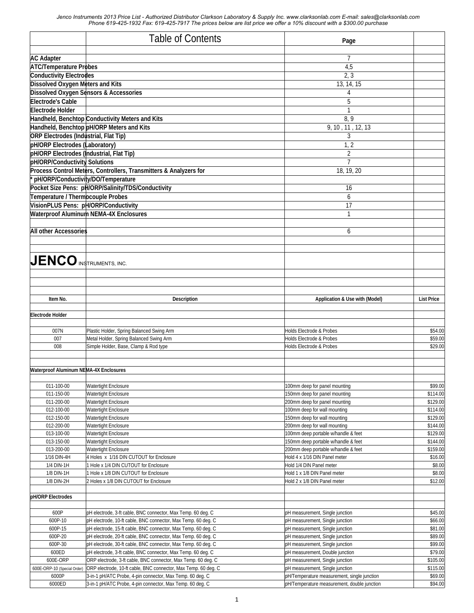|                                                                 | <b>Table of Contents</b>                                                                                               | Page                                                                                       |                      |
|-----------------------------------------------------------------|------------------------------------------------------------------------------------------------------------------------|--------------------------------------------------------------------------------------------|----------------------|
|                                                                 |                                                                                                                        |                                                                                            |                      |
| <b>AC Adapter</b>                                               |                                                                                                                        | 7                                                                                          |                      |
| <b>ATC/Temperature Probes</b><br><b>Conductivity Electrodes</b> |                                                                                                                        | 4,5<br>2, 3                                                                                |                      |
| <b>Dissolved Oxygen Meters and Kits</b>                         |                                                                                                                        | 13, 14, 15                                                                                 |                      |
|                                                                 | <b>Dissolved Oxygen Sensors &amp; Accessories</b>                                                                      | 4                                                                                          |                      |
| <b>Electrode's Cable</b>                                        |                                                                                                                        | 5                                                                                          |                      |
| Electrode Holder                                                |                                                                                                                        | $\mathbf{1}$                                                                               |                      |
|                                                                 | Handheld, Benchtop Conductivity Meters and Kits                                                                        | 8, 9                                                                                       |                      |
|                                                                 | Handheld, Benchtop pH/ORP Meters and Kits                                                                              | 9, 10, 11, 12, 13                                                                          |                      |
| <b>ORP Electrodes (Industrial, Flat Tip)</b>                    |                                                                                                                        | 3                                                                                          |                      |
| pH/ORP Electrodes (Laboratory)                                  |                                                                                                                        | 1, 2                                                                                       |                      |
| pH/ORP Electrodes (Industrial, Flat Tip)                        |                                                                                                                        | $\overline{c}$                                                                             |                      |
| pH/ORP/Conductivity Solutions                                   |                                                                                                                        | $\overline{7}$                                                                             |                      |
|                                                                 | Process Control Meters, Controllers, Transmitters & Analyzers for                                                      | 18, 19, 20                                                                                 |                      |
| * pH/ORP/Conductivity/DO/Temperature                            |                                                                                                                        |                                                                                            |                      |
|                                                                 | Pocket Size Pens: pH/ORP/Salinity/TDS/Conductivity                                                                     | 16                                                                                         |                      |
| Temperature / Thermocouple Probes                               |                                                                                                                        | 6                                                                                          |                      |
| VisionPLUS Pens: pH/ORP/Conductivity                            |                                                                                                                        | 17                                                                                         |                      |
|                                                                 | <b>Waterproof Aluminum NEMA-4X Enclosures</b>                                                                          | 1                                                                                          |                      |
| <b>All other Accessories</b>                                    |                                                                                                                        | 6                                                                                          |                      |
|                                                                 |                                                                                                                        |                                                                                            |                      |
| $JENCO$ instruments, inc.                                       |                                                                                                                        |                                                                                            |                      |
|                                                                 |                                                                                                                        |                                                                                            |                      |
| Item No.                                                        | <b>Description</b>                                                                                                     | Application & Use with (Model)                                                             | <b>List Price</b>    |
|                                                                 |                                                                                                                        |                                                                                            |                      |
| <b>Electrode Holder</b>                                         |                                                                                                                        |                                                                                            |                      |
| 007N                                                            | Plastic Holder, Spring Balanced Swing Arm                                                                              | Holds Electrode & Probes                                                                   | \$54.00              |
| 007                                                             | Metal Holder, Spring Balanced Swing Arm                                                                                | Holds Electrode & Probes                                                                   | \$59.00              |
| 008                                                             | Simple Holder, Base, Clamp & Rod type                                                                                  | <b>Holds Electrode &amp; Probes</b>                                                        | \$29.00              |
|                                                                 |                                                                                                                        |                                                                                            |                      |
| <b>Waterproof Aluminum NEMA-4X Enclosures</b>                   |                                                                                                                        |                                                                                            |                      |
|                                                                 |                                                                                                                        |                                                                                            |                      |
| 011-100-00                                                      | <b>Watertight Enclosure</b>                                                                                            | 100mm deep for panel mounting                                                              | \$99.00              |
| 011-150-00                                                      | <b>Watertight Enclosure</b>                                                                                            | 150mm deep for panel mounting                                                              | \$114.00             |
| 011-200-00<br>012-100-00                                        | <b>Watertight Enclosure</b><br><b>Watertight Enclosure</b>                                                             | 200mm deep for panel mounting<br>100mm deep for wall mounting                              | \$129.00<br>\$114.00 |
| 012-150-00                                                      | <b>Watertight Enclosure</b>                                                                                            | 150mm deep for wall mounting                                                               | \$129.00             |
| 012-200-00                                                      | <b>Watertight Enclosure</b>                                                                                            | 200mm deep for wall mounting                                                               | \$144.00             |
| 013-100-00                                                      | <b>Watertight Enclosure</b>                                                                                            | 100mm deep portable w/handle & feet                                                        | \$129.00             |
| 013-150-00                                                      | <b>Watertight Enclosure</b>                                                                                            | 150mm deep portable w/handle & feet                                                        | \$144.00             |
| 013-200-00                                                      | <b>Watertight Enclosure</b>                                                                                            | 200mm deep portable w/handle & feet                                                        | \$159.00             |
| 1/16 DIN-4H                                                     | 4 Holes x 1/16 DIN CUTOUT for Enclosure                                                                                | Hold 4 x 1/16 DIN Panel meter                                                              | \$16.00              |
| 1/4 DIN-1H<br>1/8 DIN-1H                                        | 1 Hole x 1/4 DIN CUTOUT for Enclosure<br>1 Hole x 1/8 DIN CUTOUT for Enclosure                                         | Hold 1/4 DIN Panel meter<br>Hold 1 x 1/8 DIN Panel meter                                   | \$8.00<br>\$8.00     |
| 1/8 DIN-2H                                                      | 2 Holes x 1/8 DIN CUTOUT for Enclosure                                                                                 | Hold 2 x 1/8 DIN Panel meter                                                               | \$12.00              |
|                                                                 |                                                                                                                        |                                                                                            |                      |
| pH/ORP Electrodes                                               |                                                                                                                        |                                                                                            |                      |
| 600P                                                            | pH electrode, 3-ft cable, BNC connector, Max Temp. 60 deg. C                                                           | pH measurement, Single junction                                                            | \$45.00              |
| 600P-10                                                         | pH electrode, 10-ft cable, BNC connector, Max Temp. 60 deg. C                                                          | pH measurement, Single junction                                                            | \$66.00              |
| 600P-15                                                         | pH electrode, 15-ft cable, BNC connector, Max Temp. 60 deg. C                                                          | pH measurement, Single junction                                                            | \$81.00              |
| 600P-20                                                         | pH electrode, 20-ft cable, BNC connector, Max Temp. 60 deg. C                                                          | pH measurement, Single junction                                                            | \$89.00              |
| 600P-30                                                         | pH electrode, 30-ft cable, BNC connector, Max Temp. 60 deg. C                                                          | pH measurement, Single junction                                                            | \$99.00              |
| 600ED                                                           | pH electrode, 3-ft cable, BNC connector, Max Temp. 60 deg. C                                                           | pH measurement, Double junction                                                            | \$79.00              |
| 600E-ORP                                                        | ORP electrode, 3-ft cable, BNC connector, Max Temp. 60 deg. C                                                          | pH measurement, Single junction                                                            | \$105.00             |
| 600E-ORP-10 (Special Order)                                     | ORP electrode, 10-ft cable, BNC connector, Max Temp. 60 deg. C                                                         | pH measurement, Single junction                                                            | \$115.00             |
| 6000P<br>6000ED                                                 | 3-in-1 pH/ATC Probe, 4-pin connector, Max Temp. 60 deg. C<br>3-in-1 pH/ATC Probe, 4-pin connector, Max Temp. 60 deg. C | pH/Temperature measurement, single junction<br>pH/Temperature measurement, double junction | \$69.00<br>\$94.00   |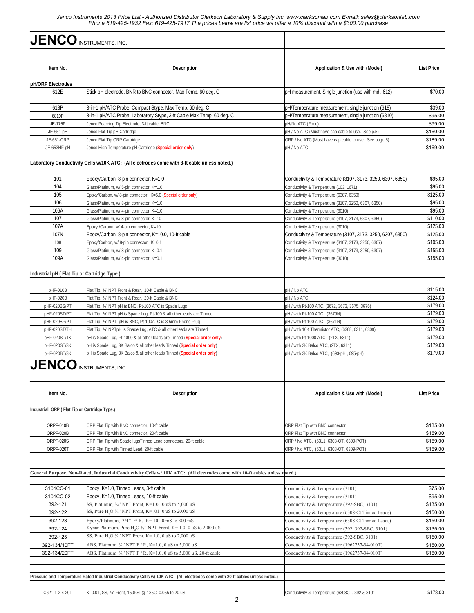| <b>JENCO</b> INSTRUMENTS, INC.               |                                                                                                                                          |                                                                                                        |                      |
|----------------------------------------------|------------------------------------------------------------------------------------------------------------------------------------------|--------------------------------------------------------------------------------------------------------|----------------------|
|                                              |                                                                                                                                          |                                                                                                        |                      |
| Item No.                                     | <b>Description</b>                                                                                                                       | Application & Use with (Model)                                                                         | <b>List Price</b>    |
| pH/ORP Electrodes                            |                                                                                                                                          |                                                                                                        |                      |
| 612E                                         | Stick pH electrode, BNR to BNC connector, Max Temp. 60 deg. C                                                                            | pH measurement, Single junction (use with mdl. 612)                                                    | \$70.00              |
| 618P                                         | 3-in-1 pH/ATC Probe, Compact Stype, Max Temp. 60 deg. C                                                                                  | pH/Temperature measurement, single junction (618)                                                      | \$39.00              |
| 6810P                                        | 3-in-1 pH/ATC Probe, Laboratory Stype, 3-ft Cable Max Temp. 60 deg. C                                                                    | pH/Temperature measurement, single junction (6810)                                                     | \$95.00              |
| JE-175P                                      | Jenco Pearcing Tip Electrode, 3-ft cable, BNC                                                                                            | pH/No ATC (Food)                                                                                       | \$99.00              |
| JE-651-pH                                    | Jenco Flat Tip pH Cartridge                                                                                                              | pH / No ATC (Must have cap cable to use. See p.5)                                                      | \$160.00             |
| JE-651-ORP<br>JE-653HF-pH                    | Jenco Flat Tip ORP Cartridge<br>Jenco High Temperature pH Cartridge (Special order only)                                                 | ORP / No ATC (Must have cap cable to use. See page 5)<br>pH / No ATC                                   | \$189.00<br>\$169.00 |
|                                              |                                                                                                                                          |                                                                                                        |                      |
|                                              | Laboratory Conductivity Cells w/10K ATC: (All electrodes come with 3-ft cable unless noted.)                                             |                                                                                                        |                      |
| 101                                          | Epoxy/Carbon, 8-pin connector, K=1.0                                                                                                     | Conductivity & Temperature (3107, 3173, 3250, 6307, 6350)                                              | \$95.00              |
| 104                                          | Glass/Platinum, w/ 5-pin connector, K=1.0                                                                                                | Conductivity & Temperature (103, 1671)                                                                 | \$95.00              |
| 105                                          | Epoxy/Carbon, w/ 8-pin connector, K=5.0 (Special order only)                                                                             | Conductivity & Temperature (6307, 6350)                                                                | \$125.00             |
| 106                                          | Glass/Platinum, w/ 8-pin connector, K=1.0                                                                                                | Conductivity & Temperature (3107, 3250, 6307, 6350)                                                    | \$95.00              |
| 106A                                         | Glass/Platinum, w/ 4-pin connector, K=1.0                                                                                                | Conductivity & Temperature (3010)                                                                      | \$95.00              |
| 107<br>107A                                  | Glass/Platinum, w/ 8-pin connector, K=10<br>Epoxy /Carbon, w/ 4-pin connector, K=10                                                      | Conductivity & Temperature (3107, 3173, 6307, 6350)<br>Conductivity & Temperature (3010)               | \$110.00<br>\$125.00 |
| 107N                                         | Epoxy/Carbon, 8-pin connector, K=10.0, 10-ft cable                                                                                       | Conductivity & Temperature (3107, 3173, 3250, 6307, 6350)                                              | \$125.00             |
| 108                                          | Epoxy/Carbon, w/ 8-pin connector, K=0.1                                                                                                  | Conductivity & Temperature (3107, 3173, 3250, 6307)                                                    | \$105.00             |
| 109                                          | Glass/Platinum, w/ 8-pin connector, K=0.1                                                                                                | Conductivity & Temperature (3107, 3173, 3250, 6307)                                                    | \$155.00             |
| 109A                                         | Glass/Platinum, w/ 4-pin connector, K=0.1                                                                                                | Conductivity & Temperature (3010)                                                                      | \$155.00             |
| Industrial pH (Flat Tip or Cartridge Type.)  |                                                                                                                                          |                                                                                                        |                      |
|                                              |                                                                                                                                          |                                                                                                        |                      |
| pHF-010B                                     | Flat Tip, 3/4" NPT Front & Rear, 10-ft Cable & BNC                                                                                       | pH / No ATC                                                                                            | \$115.00             |
| pHF-020B                                     | Flat Tip, 3/4" NPT Front & Rear, 20-ft Cable & BNC                                                                                       | pH / No ATC                                                                                            | \$124.00<br>\$179.00 |
| pHF-020BS/PT<br>pHF-020ST/PT                 | Flat Tip, 3/4" NPT pH is BNC, Pt-100 ATC is Spade Lugs                                                                                   | pH / with Pt-100 ATC, (3672, 3673, 3675, 3676)<br>pH / with Pt-100 ATC, (3679N)                        | \$179.00             |
| pHF-020BP/PT                                 | Flat Tip, 3/4" NPT, pH is Spade Lug, Pt-100 & all other leads are Tinned<br>Flat Tip, 3/4" NPT, pH is BNC, Pt-100ATC is 3.5mm Phono Plug | pH / with Pt-100 ATC, (3671N)                                                                          | \$179.00             |
| pHF-020ST/TH                                 | Flat Tip, 3/4" NPTpH is Spade Lug, ATC & all other leads are Tinned                                                                      | pH / with 10K Thermistor ATC, (6308, 6311, 6309)                                                       | \$179.00             |
| pHF-020ST/1K                                 | pH is Spade Lug, Pt-1000 & all other leads are Tinned (Special order only)                                                               | pH / with Pt-1000 ATC, (2TX, 6311)                                                                     | \$179.00             |
| pHF-020ST/3K                                 | pH is Spade Lug, 3K Balco & all other leads Tinned (Special order only)                                                                  | pH / with 3K Balco ATC, (2TX, 6311)                                                                    | \$179.00             |
| pHF-020BT/3K                                 | pH is Spade Lug, 3K Balco & all other leads Tinned (Special order only)                                                                  | pH / with 3K Balco ATC, (693-pH, 695-pH)                                                               | \$179.00             |
| $JENCO$ instruments, inc.                    |                                                                                                                                          |                                                                                                        |                      |
|                                              |                                                                                                                                          |                                                                                                        |                      |
| Item No.                                     | <b>Description</b>                                                                                                                       | Application & Use with (Model)                                                                         | <b>List Price</b>    |
| Industrial ORP (Flat Tip or Cartridge Type.) |                                                                                                                                          |                                                                                                        |                      |
|                                              |                                                                                                                                          |                                                                                                        | \$135.00             |
| ORPF-010B<br>ORPF-020B                       | ORP Flat Tip with BNC connector, 10-ft cable<br>ORP Flat Tip with BNC connector, 20-ft cable                                             | ORP Flat Tip with BNC connector<br>ORP Flat Tip with BNC connector                                     | \$169.00             |
| ORPF-020S                                    | ORP Flat Tip with Spade lugsTinned Lead connectors, 20-ft cable                                                                          | ORP / No ATC, (6311, 6308-OT, 6309-POT)                                                                | \$169.00             |
| ORPF-020T                                    | ORP Flat Tip with Tinned Lead, 20-ft cable                                                                                               | ORP / No ATC. (6311, 6308-OT, 6309-POT)                                                                | \$169.00             |
|                                              |                                                                                                                                          |                                                                                                        |                      |
|                                              | General Purpose, Non-Rated, Industrial Conductivity Cells w/10K ATC: (All electrodes come with 10-ft cables unless noted.)               |                                                                                                        |                      |
|                                              |                                                                                                                                          |                                                                                                        |                      |
| 3101CC-01                                    | Epoxy, K=1.0, Tinned Leads, 3-ft cable                                                                                                   | Conductivity & Temperature (3101)                                                                      | \$75.00              |
| 3101CC-02                                    | Epoxy, K=1.0, Tinned Leads, 10-ft cable                                                                                                  | Conductivity & Temperature (3101)                                                                      | \$95.00              |
| 392-121                                      | SS, Platinum, 3/4" NPT Front, K=1.0, 0 uS to 5,000 uS<br>SS, Pure H <sub>2</sub> O $\frac{3}{4}$ " NPT Front, K= .01 0 uS to 20.00 uS    | Conductivity & Temperature (392-SBC, 3101)                                                             | \$135.00             |
| 392-122<br>392-123                           | Epoxy/Platinum, $3/4$ " F/R, K= 10, 0 mS to 300 mS                                                                                       | Conductivity & Temperature (6308-Ct Tinned Leads)<br>Conductivity & Temperature (6308-Ct Tinned Leads) | \$150.00<br>\$150.00 |
| 392-124                                      | Kynar Platinum, Pure H <sub>2</sub> O 3/4" NPT Front, K= 1.0, 0 uS to 2,000 uS                                                           | Conductivity & Temperature (392, 392-SBC, 3101)                                                        | \$135.00             |
| 392-125                                      | SS, Pure H, O $\frac{3}{4}$ " NPT Front, K= 1.0, 0 uS to 2,000 uS                                                                        | Conductivity & Temperature (392-SBC, 3101)                                                             | \$150.00             |
| 392-134/10FT                                 | ABS, Platinum 3/4" NPT F / R, K=1.0, 0 uS to 5,000 uS                                                                                    | Conductivity & Temperature (1962737-34-010T)                                                           | \$150.00             |
| 392-134/20FT                                 | ABS, Platinum $\frac{3}{4}$ " NPT F / R, K=1.0, 0 uS to 5,000 uS, 20-ft cable                                                            | Conductivity & Temperature (1962737-34-010T)                                                           | \$160.00             |
|                                              |                                                                                                                                          |                                                                                                        |                      |
|                                              | Pressure and Temperature Rated Industrial Conductivity Cells w/ 10K ATC: (All electrodes come with 20-ft cables unless noted.)           |                                                                                                        |                      |
|                                              |                                                                                                                                          |                                                                                                        |                      |
| C621-1-2-4-20T                               | K=0.01, SS, 3/4" Front, 150PSI @ 135C, 0.055 to 20 uS                                                                                    | Conductivity & Temperature (6308CT, 392 & 3101)                                                        | \$178.00             |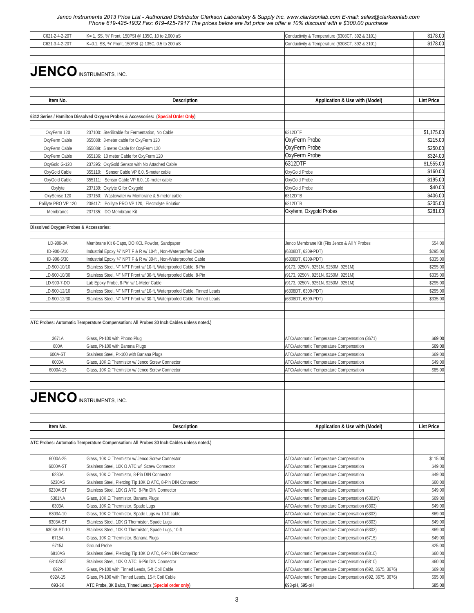| C621-2-4-2-20T                         | K= 1, SS, 3/4" Front, 150PSI @ 135C, 10 to 2,000 uS                                      | Conductivity & Temperature (6308CT, 392 & 3101)          | \$178.00          |
|----------------------------------------|------------------------------------------------------------------------------------------|----------------------------------------------------------|-------------------|
| C621-3-4-2-20T                         | K=0.1, SS, 3/4" Front, 150PSI @ 135C, 0.5 to 200 uS                                      | Conductivity & Temperature (6308CT, 392 & 3101)          | \$178.00          |
|                                        |                                                                                          |                                                          |                   |
|                                        |                                                                                          |                                                          |                   |
|                                        |                                                                                          |                                                          |                   |
| <b>JENCO INSTRUMENTS, INC.</b>         |                                                                                          |                                                          |                   |
|                                        |                                                                                          |                                                          |                   |
|                                        |                                                                                          |                                                          |                   |
|                                        |                                                                                          |                                                          |                   |
| Item No.                               | <b>Description</b>                                                                       | Application & Use with (Model)                           | <b>List Price</b> |
|                                        |                                                                                          |                                                          |                   |
|                                        |                                                                                          |                                                          |                   |
|                                        | 6312 Series / Hamilton Dissolved Oxygen Probes & Accessories: (Special Order Only)       |                                                          |                   |
|                                        |                                                                                          |                                                          |                   |
| OxyFerm 120                            | 237100: Sterilizable for Fermentation, No Cable                                          | 6312DTF                                                  | \$1,175.00        |
| OxyFerm Cable                          | 355088: 3-meter cable for OxyFerm 120                                                    | OxyFerm Probe                                            | \$215.00          |
| OxyFerm Cable                          | 355089: 5 meter Cable for OxyFerm 120                                                    | OxyFerm Probe                                            | \$250.00          |
| OxyFerm Cable                          | 355136: 10 meter Cable for OxyFerm 120                                                   | OxyFerm Probe                                            | \$324.00          |
|                                        |                                                                                          | 6312DTF                                                  | \$1,555.00        |
| OxyGold G-120                          | 237395: OxyGold Sensor with No Attached Cable                                            |                                                          |                   |
| OxyGold Cable                          | 355110: Sensor Cable VP 6.0, 5-meter cable                                               | OxyGold Probe                                            | \$160.00          |
| OxyGold Cable                          | 355111: Sensor Cable VP 6.0, 10-meter cable                                              | OxyGold Probe                                            | \$195.00          |
| Oxylyte                                | 237139: Oxylyte G for Oxygold                                                            | OxyGold Probe                                            | \$40.00           |
| OxySense 120                           | 237150: Wastewater w/ Membrane & 5-meter cable                                           | 6312DTB                                                  | \$406.00          |
| Polilyte PRO VP 120                    | 238417: Polilyte PRO VP 120, Electrolyte Solution                                        | 6312DTB                                                  | \$205.00          |
| Membranes                              | 237135: DO Membrane Kit                                                                  | Oxyferm, Oxygold Probes                                  | \$281.00          |
|                                        |                                                                                          |                                                          |                   |
|                                        |                                                                                          |                                                          |                   |
| Dissolved Oxygen Probes & Accessories: |                                                                                          |                                                          |                   |
|                                        |                                                                                          |                                                          |                   |
| LD-900-3A                              | Membrane Kit 6-Caps, DO KCL Powder, Sandpaper                                            | Jenco Membrane Kit (Fits Jenco & All Y Probes            | \$54.00           |
| ID-900-5/10                            | Industrial Epoxy 3⁄4" NPT F & R w/ 10-ft , Non-Waterproffed Cable                        | (6308DT, 6309-PDT)                                       | \$295.00          |
| ID-900-5/30                            | Industrial Epoxy 3/4" NPT F & R w/ 30-ft, Non-Waterproofed Cable                         | (6308DT, 6309-PDT)                                       | \$335.00          |
| LD-900-10/10                           | Stainless Steel, 3/4" NPT Front w/ 10-ft, Waterproofed Cable, 8-Pin                      | (9173, 9250N, 9251N, 9250M, 9251M)                       | \$295.00          |
|                                        |                                                                                          |                                                          |                   |
| LD-900-10/30                           | Stainless Steel, 3/4" NPT Front w/ 30-ft, Waterproofed Cable, 8-Pin                      | (9173, 9250N, 9251N, 9250M, 9251M)                       | \$335.00          |
| LD-900-7-DO                            | Lab Epoxy Probe, 8-Pin w/ 1-Meter Cable                                                  | (9173, 9250N, 9251N, 9250M, 9251M)                       | \$295.00          |
| LD-900-12/10                           | Stainless Steel, 3/4" NPT Front w/ 10-ft, Waterproofed Cable, Tinned Leads               | (6308DT, 6309-PDT)                                       | \$295.00          |
| LD-900-12/30                           | Stainless Steel, 3/4" NPT Front w/ 30-ft, Waterproofed Cable, Tinned Leads               | (6308DT, 6309-PDT)                                       | \$335.00          |
|                                        |                                                                                          |                                                          |                   |
|                                        |                                                                                          |                                                          |                   |
|                                        | ATC Probes: Automatic Temperature Compensation: All Probes 30 Inch Cables unless noted.) |                                                          |                   |
|                                        |                                                                                          |                                                          |                   |
|                                        |                                                                                          |                                                          |                   |
| 3671A                                  | Glass, Pt-100 with Phono Plug                                                            | ATC/Automatic Temperature Compensation (3671)            | \$69.00           |
| 600A                                   | Glass, Pt-100 with Banana Plugs                                                          | ATC/Automatic Temperature Compensation                   | \$69.00           |
| 600A-ST                                | Stainless Steel, Pt-100 with Banana Plugs                                                | ATC/Automatic Temperature Compensation                   | \$69.00           |
| 6000A                                  | Glass, 10K Ω Thermistor w/ Jenco Screw Connector                                         | ATC/Automatic Temperature Compensation                   | \$49.00           |
| 6000A-15                               | Glass, 10K Ω Thermistor w/ Jenco Screw Connector                                         | ATC/Automatic Temperature Compensation                   | \$85.00           |
|                                        |                                                                                          |                                                          |                   |
|                                        |                                                                                          |                                                          |                   |
|                                        |                                                                                          |                                                          |                   |
| <b>JENCO INSTRUMENTS, INC.</b>         |                                                                                          |                                                          |                   |
|                                        |                                                                                          |                                                          |                   |
|                                        |                                                                                          |                                                          |                   |
|                                        |                                                                                          |                                                          |                   |
| Item No.                               | <b>Description</b>                                                                       | Application & Use with (Model)                           | <b>List Price</b> |
|                                        |                                                                                          |                                                          |                   |
|                                        |                                                                                          |                                                          |                   |
|                                        | ATC Probes: Automatic Temperature Compensation: All Probes 30 Inch Cables unless noted.) |                                                          |                   |
|                                        |                                                                                          |                                                          |                   |
| 6000A-25                               | Glass, 10Κ Ω Thermistor w/ Jenco Screw Connector                                         | ATC/Automatic Temperature Compensation                   | \$115.00          |
| 6000A-ST                               | Stainless Steel, 10Κ Ω ATC w/ Screw Connector                                            | ATC/Automatic Temperature Compensation                   | \$49.00           |
| 6230A                                  | Glass, 10K Ω Thermistor, 8-Pin DIN Connector                                             | ATC/Automatic Temperature Compensation                   | \$49.00           |
| 6230AS                                 | Stainless Steel, Piercing Tip 10K Ω ATC, 8-Pin DIN Connector                             | ATC/Automatic Temperature Compensation                   | \$60.00           |
|                                        |                                                                                          |                                                          |                   |
| 6230A-ST                               | Stainless Steel, 10Κ Ω ATC, 8-Pin DIN Connector                                          | ATC/Automatic Temperature Compensation                   | \$49.00           |
| 6301NA                                 | Glass, 10Κ Ω Thermistor, Banana Plugs                                                    | ATC/Automatic Temperature Compensation (6301N)           | \$69.00           |
| 6303A                                  | Glass, 10K Ω Thermistor, Spade Lugs                                                      | ATC/Automatic Temperature Compensation (6303)            | \$49.00           |
| 6303A-10                               | Glass, 10K Ω Thermistor, Spade Lugs w/ 10-ft cable                                       | ATC/Automatic Temperature Compensation (6303)            | \$69.00           |
| 6303A-ST                               | Stainless Steel, 10K Ω Thermistor, Spade Lugs                                            | ATC/Automatic Temperature Compensation (6303)            | \$49.00           |
| 6303A-ST-10                            | Stainless Steel, 10K Ω Thermistor, Spade Lugs, 10-ft                                     | ATC/Automatic Temperature Compensation (6303)            | \$69.00           |
| 6715A                                  | Glass, 10K Ω Thermistor, Banana Plugs                                                    | ATC/Automatic Temperature Compensation (6715)            | \$49.00           |
| 6715J                                  | Ground Probe                                                                             |                                                          | \$25.00           |
|                                        |                                                                                          |                                                          |                   |
| 6810AS                                 | Stainless Steel, Piercing Tip 10K Ω ATC, 6-Pin DIN Connector                             | ATC/Automatic Temperature Compensation (6810)            | \$60.00           |
| 6810AST                                | Stainless Steel, 10Κ Ω ATC, 6-Pin DIN Connector                                          | ATC/Automatic Temperature Compensation (6810)            | \$60.00           |
| 692A                                   | Glass, Pt-100 with Tinned Leads, 5-ft Coil Cable                                         | ATC/Automatic Temperature Compensation (692, 3675, 3676) | \$69.00           |
| 692A-15                                | Glass, Pt-100 with Tinned Leads, 15-ft Coil Cable                                        | ATC/Automatic Temperature Compensation (692, 3675, 3676) | \$95.00           |
| 693-3K                                 | ATC Probe, 3K Balco, Tinned Leads (Special order only)                                   | 693-pH, 695-pH                                           | \$85.00           |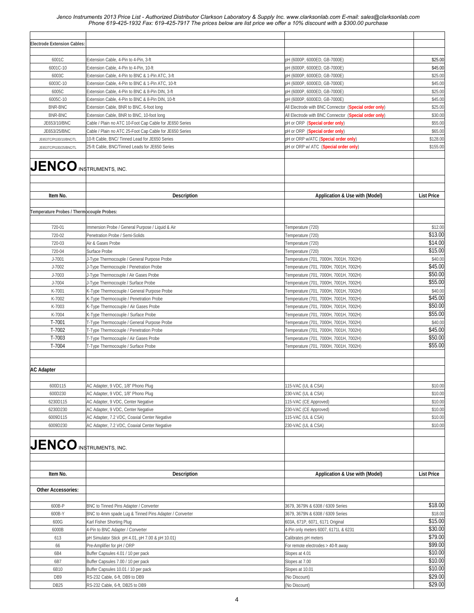| <b>Electrode Extension Cables:</b>        |                                                         |                                                       |                   |
|-------------------------------------------|---------------------------------------------------------|-------------------------------------------------------|-------------------|
|                                           |                                                         |                                                       |                   |
| 6001C                                     | Extension Cable, 4-Pin to 4-Pin, 3-ft                   | pH (6000P, 6000ED, GB-7000E)                          | \$25.00           |
| 6001C-10                                  | Extension Cable, 4-Pin to 4-Pin, 10-ft                  | pH (6000P, 6000ED, GB-7000E)                          | \$45.00           |
| 6003C                                     | Extension Cable, 4-Pin to BNC & 1-Pin ATC, 3-ft         | pH (6000P, 6000ED, GB-7000E)                          | \$25.00           |
| 6003C-10                                  | Extension Cable, 4-Pin to BNC & 1-Pin ATC, 10-ft        | pH (6000P, 6000ED, GB-7000E)                          | \$45.00           |
| 6005C                                     | Extension Cable, 4-Pin to BNC & 8-Pin DIN, 3-ft         | pH (6000P, 6000ED, GB-7000E)                          | \$25.00           |
| 6005C-10                                  | Extension Cable, 4-Pin to BNC & 8-Pin DIN, 10-ft        | pH (6000P, 6000ED, GB-7000E)                          | \$45.00           |
| <b>BNR-BNC</b>                            | Extension Cable, BNR to BNC, 6-foot long                | All Electrode with BNC Connector (Special order only) | \$25.00           |
| <b>BNR-BNC</b>                            | Extension Cable, BNR to BNC, 10-foot long               | All Electrode with BNC Connector (Special order only) | \$30.00           |
| JE653/10/BNC                              | Cable / Plain no ATC 10-Foot Cap Cable for JE650 Series | pH or ORP (Special order only)                        | \$55.00           |
| JE653/25/BNC                              | Cable / Plain no ATC 25-Foot Cap Cable for JE650 Series | pH or ORP (Special order only)                        | \$65.00           |
| JE653TC/Pt100/10/BNC/TL                   | 10-ft Cable, BNC/ Tinned Lead for JE650 Series          | pH or ORP w/ATC (Special order only)                  | \$128.00          |
| JE653TC/Pt100/25/BNC/TL                   | 25-ft Cable, BNC/Tinned Leads for JE650 Series          | pH or ORP w/ ATC (Special order only)                 | \$155.00          |
| <b>JENCO INSTRUMENTS, INC.</b>            |                                                         |                                                       |                   |
|                                           |                                                         |                                                       |                   |
|                                           |                                                         |                                                       |                   |
| Item No.                                  | <b>Description</b>                                      | Application & Use with (Model)                        | <b>List Price</b> |
| Temperature Probes / Thermocouple Probes: |                                                         |                                                       |                   |
|                                           |                                                         |                                                       |                   |
| 720-01                                    | Immersion Probe / General Purpose / Liquid & Air        | Temperature (720)                                     | \$12.00           |
| 720-02                                    | Penetration Probe / Semi-Solids                         | Temperature (720)                                     | \$13.00           |
| 720-03                                    | Air & Gases Probe                                       | Temperature (720)                                     | \$14.00           |
| 720-04                                    | Surface Probe                                           | Temperature (720)                                     | \$15.00           |
| J-7001                                    | J-Type Thermocouple / General Purpose Probe             | Temperature (701, 7000H, 7001H, 7002H)                | \$40.00           |
| J-7002                                    | J-Type Thermocouple / Penetration Probe                 | Temperature (701, 7000H, 7001H, 7002H)                | \$45.00           |
| J-7003                                    | J-Type Thermocouple / Air Gases Probe                   | Temperature (701, 7000H, 7001H, 7002H)                | \$50.00           |
| J-7004                                    | J-Type Thermocouple / Surface Probe                     | Temperature (701, 7000H, 7001H, 7002H)                | \$55.00           |
| K-7001                                    | K-Type Thermocouple / General Purpose Probe             | Temperature (701, 7000H, 7001H, 7002H)                | \$40.00           |
| K-7002                                    | K-Type Thermocouple / Penetration Probe                 | Temperature (701, 7000H, 7001H, 7002H)                | \$45.00           |
| K-7003                                    | K-Type Thermocouple / Air Gases Probe                   | Temperature (701, 7000H, 7001H, 7002H)                | \$50.00           |
| K-7004                                    | K-Type Thermocouple / Surface Probe                     | Temperature (701, 7000H, 7001H, 7002H)                | \$55.00           |
| T-7001                                    | T-Type Thermocouple / General Purpose Probe             | Temperature (701, 7000H, 7001H, 7002H)                | \$40.00           |
| T-7002                                    | T-Type Thermocouple / Penetration Probe                 | Temperature (701, 7000H, 7001H, 7002H)                | \$45.00           |
| T-7003                                    | T-Type Thermocouple / Air Gases Probe                   | Temperature (701, 7000H, 7001H, 7002H)                | \$50.00           |
| T-7004                                    | T-Type Thermocouple / Surface Probe                     | Temperature (701, 7000H, 7001H, 7002H)                | \$55.00           |
|                                           |                                                         |                                                       |                   |
|                                           |                                                         |                                                       |                   |
| <b>AC Adapter</b>                         |                                                         |                                                       |                   |
|                                           |                                                         |                                                       |                   |
| 600D115                                   | AC Adapter, 9 VDC, 1/8" Phono Plug                      | 115-VAC (UL & CSA)                                    | \$10.00           |
| 600D230                                   | AC Adapter, 9 VDC, 1/8" Phono Plug                      | 230-VAC (UL & CSA)                                    | \$10.00           |
| 6230D115                                  | AC Adapter, 9 VDC, Center Negative                      | 115-VAC (CE Approved)                                 | \$10.00           |
| 6230D230                                  | AC Adapter, 9 VDC, Center Negative                      | 230-VAC (CE Approved)                                 | \$10.00           |
| 6009D115                                  | AC Adapter, 7.2 VDC, Coaxial Center Negative            | 115-VAC (UL & CSA)                                    | \$10.00           |
| 6009D230                                  | AC Adapter, 7.2 VDC, Coaxial Center Negative            | 230-VAC (UL & CSA)                                    | \$10.00           |
|                                           |                                                         |                                                       |                   |
| $JENO$ instruments, inc.                  |                                                         |                                                       |                   |
|                                           |                                                         |                                                       |                   |
|                                           |                                                         |                                                       |                   |
|                                           |                                                         |                                                       |                   |
| Item No.                                  | <b>Description</b>                                      | Application & Use with (Model)                        | <b>List Price</b> |
|                                           |                                                         |                                                       |                   |
| <b>Other Accessories:</b>                 |                                                         |                                                       |                   |
|                                           |                                                         |                                                       |                   |
| 600B-P                                    | BNC to Tinned Pins Adapter / Converter                  | 3679, 3679N & 6308 / 6309 Series                      | \$18.00           |
| 600B-Y                                    | BNC to 4mm spade Lug & Tinned Pins Adapter / Converter  | 3679, 3679N & 6308 / 6309 Series                      | \$18.00           |
| 600G                                      | Karl Fisher Shorting Plug                               | 603A, 671P, 6071, 6171 Original                       | \$15.00           |
| 6000B                                     | 4-Pin to BNC Adapter / Converter                        | 4-Pin only meters 6007, 6171L & 6231                  | \$30.00           |
| 613                                       | pH Simulator Stick pH 4.01, pH 7.00 & pH 10.01)         | Calibrates pH meters                                  | \$79.00           |
| 66                                        | Pre-Amplifier for pH / ORP                              | For remote electrodes > 40-ft away                    | \$99.00           |
| 6B4                                       | Buffer Capsules 4.01 / 10 per pack                      | Slopes at 4.01                                        | \$10.00           |
| 6B7                                       | Buffer Capsules 7.00 / 10 per pack                      | Slopes at 7.00                                        | \$10.00           |
| 6B10                                      | Buffer Capsules 10.01 / 10 per pack                     | Slopes at 10.01                                       | \$10.00           |
| DB <sub>9</sub>                           | RS-232 Cable, 6-ft, DB9 to DB9                          | (No Discount)                                         | \$29.00           |
| DB <sub>25</sub>                          | RS-232 Cable, 6-ft, DB25 to DB9                         | (No Discount)                                         | \$29.00           |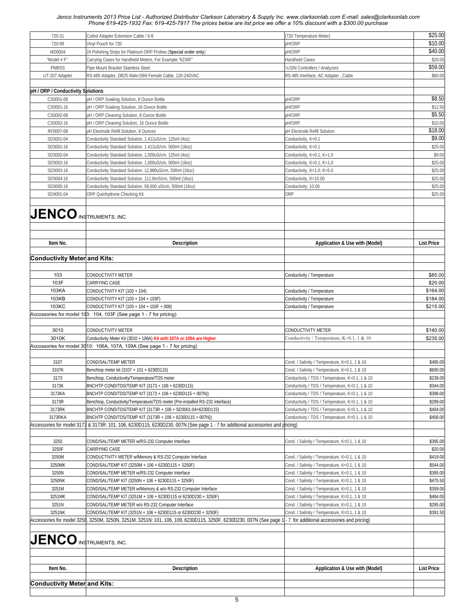| pH/ORP<br>720-99<br>Vinyl Pouch for 720<br>pH/ORP<br>MD0004<br>24 Polishing Strips for Platinum ORP Probes (Special order only)<br>"Model # F"<br>Carrying Cases for Handheld Meters, For Example "6230F"<br><b>Handheld Cases</b><br><b>PMBSS</b><br>Pipe Mount Bracket Stainless Steel<br>1/4 DIN Controllers / Analyzers<br>UT-207 Adapter<br>RS-485 Adapter, DB25 Male-DB9 Female Cable, 120-240VAC<br>RS-485 Interface, AC Adapter, Cable<br>pH / ORP / Conductivity Splutions<br>CS0001-08<br>pH/ORP<br>pH / ORP Soaking Solution, 8 Ounce Bottle<br>CS0001-16<br>pH / ORP Soaking Solution, 16 Ounce Bottle<br>pH/ORP<br>CS0002-08<br>pH/ORP<br>pH / ORP Cleaning Solution, 8 Ounce Bottle<br>pH/ORP<br>CS0002-16<br>pH / ORP Cleaning Solution, 16 Ounce Bottle<br>\$18.00<br>RF0007-08<br>pH Electrode Refill Solution, 8 Ounces<br>pH Electrode Refill Solution<br>\$9.00<br>SD3001-04<br>Conductivity Standard Solution, 1,412uS/cm, 125ml (4oz)<br>Conductivity, K=0.1<br>\$25.00<br>Conductivity Standard Solution, 1,412uS/cm, 500ml (16oz)<br>SD3001-16<br>Conductivity, K=0.1<br>\$9.00<br>SD3002-04<br>Conductivity Standard Solution, 1,000uS/cm, 125ml (4oz)<br>Conductivity, K=0.1, K=1.0<br>\$25.00<br>Conductivity Standard Solution, 1,000uS/cm, 500ml (16oz)<br>SD3002-16<br>Conductivity, K=0.1, K=1.0<br>\$25.00<br>Conductivity Standard Solution, 12,880uS/cm, 500ml (16oz)<br>SD3003-16<br>Conductivity, K=1.0, K=5.0<br>SD3004-16<br>Conductivity Standard Solution, 111.8mS/cm, 500ml (16oz)<br>Conductivity, K=10.00<br>\$25.00<br>\$25.00<br>SD3005-16<br>Conductivity Standard Solution, 58,600 uS/cm, 500ml (16oz)<br>Conductivity, 10.00<br>ORP<br>\$25.00<br>SD4001-04<br>ORP Quinhydrone Checking Kit<br>$JENCO$ instruments, inc.<br>Item No.<br><b>List Price</b><br><b>Description</b><br>Application & Use with (Model)<br><b>Conductivity Meter and Kits:</b><br>103<br>CONDUCTIVITY METER<br>Conductivity / Temperature<br>103F<br>CARRYING CASE<br>103KA<br>CONDUCTIVITY KIT (103 + 104)<br>Conductivity / Temperature<br>103KB<br>CONDUCTIVITY KIT (103 + 104 + 103F)<br>Conductivity / Temperature<br>103KC<br>CONDUCTIVITY KIT (103 + 104 + 103F + 008)<br>Conductivity / Temperature<br>Accossories for model 103: 104, 103F (See page 1 - 7 for pricing)<br>3010<br>CONDUCTIVITY METER<br><b>CONDUCTIVITY METER</b><br>3010K<br>Conductivity Meter Kit (3010 + 106A) Kit with 107A or 109A are Higher<br>Conductivity / Temperature, K=0.1, 1 & 10<br>Accossories for model 3010: 106A, 107A, 109A (See page 1 - 7 for pricing)<br>3107<br>COND/SAL/TEMP METER<br>Cond. / Salinity / Temperature, K=0.1, 1 & 10<br>3107K<br>Benchtop meter kit (3107 + 101 + 6230D115)<br>Cond. / Salinity / Temperature, K=0.1, 1 & 10<br>3173<br>Benchtop, Conductovity/Temperature/TDS meter<br>Conductivity / TDS / Temperature, K=0.1, 1 & 10<br>BNCHTP COND/TDS/TEMP KIT (3173 + 106 + 6230D115)<br>3173K<br>Conductivity / TDS / Temperature, K=0.1, 1 & 10<br>BNCHTP COND/TDS/TEMP KIT (3173 + 106 + 6230D115 + 007N))<br>Conductivity / TDS / Temperature, K=0.1, 1 & 10<br>3173KA<br>3173R<br>Benchtop, Conductivity/Temperature/TDS meter (Pre-installed RS-232 interface)<br>Conductivity / TDS / Temperature, K=0.1, 1 & 10<br>3173RK<br>BNCHTP COND/TDS/TEMP KIT (3173R + 106 + SD3001-04+6230D115)<br>Conductivity / TDS / Temperature, K=0.1, 1 & 10<br>3173RKA<br>BNCHTP COND/TDS/TEMP KIT (3173R + 106 + 6230D115 + 007N))<br>Conductivity / TDS / Temperature, K=0.1, 1 & 10<br>Accessories for model 3173 & 3173R: 101, 106, 6230D115, 6230D230, 007N (See page 1 - 7 for additional accessories and pricing)<br>3250<br>COND/SAL/TEMP METER w/RS-232 Computer Interface<br>Cond. / Salinity / Temperature, K=0.1, 1 & 10<br>3250F<br>CARRYING CASE<br>3250M<br>CONDUCTIVITY METER w/Memory & RS-232 Computer Interface<br>Cond. / Salinity / Temperature, K=0.1, 1 & 10<br>\$419.00<br>COND/SAL/TEMP KIT (3250M + 106 + 6230D115 + 3250F)<br>\$544.00<br>3250MK<br>Cond. / Salinity / Temperature, K=0.1, 1 & 10<br>3250N<br>\$395.00<br>COND/SAL/TEMP METER w/RS-232 Computer Interface<br>Cond. / Salinity / Temperature, K=0.1, 1 & 10<br>3250NK<br>COND/SAL/TEMP KIT (3250N + 106 + 6230D115 + 3250F)<br>\$475.50<br>Cond. / Salinity / Temperature, K=0.1, 1 & 10<br>3251M<br>COND/SAL/TEMP METER w/Memory & w/o RS-232 Computer Interface<br>Cond. / Salinity / Temperature, K=0.1, 1 & 10<br>\$359.00<br>3251MK<br>COND/SAL/TEMP KIT (3251M + 106 + 6230D115 or 6230D230 + 3250F)<br>Cond. / Salinity / Temperature, K=0.1, 1 & 10<br>\$484.00<br>3251N<br>COND/SAL/TEMP METER w/o RS-232 Computer Interface<br>Cond. / Salinity / Temperature, K=0.1, 1 & 10<br>\$295.00<br>3251NK<br>COND/SAL/TEMP KIT (3251N + 106 + 6230D115 or 6230D230 + 3250F)<br>Cond. / Salinity / Temperature, K=0.1, 1 & 10<br>\$391.50<br>Accessories for model 3250, 3250M, 3250N, 3251M, 3251N: 101, 106, 109, 6230D115, 3250F, 6230D230, 007N (See page 1 -7 for additional accessories and pricing)<br><b>JENCO INSTRUMENTS, INC.</b><br>Item No.<br>Application & Use with (Model)<br><b>Description</b><br><b>List Price</b><br><b>Conductivity Meter and Kits:</b> | 720-31 | Coiled Adapter Extension Cable / 6-ft | (720 Temperature Meter) | \$25.00  |
|---------------------------------------------------------------------------------------------------------------------------------------------------------------------------------------------------------------------------------------------------------------------------------------------------------------------------------------------------------------------------------------------------------------------------------------------------------------------------------------------------------------------------------------------------------------------------------------------------------------------------------------------------------------------------------------------------------------------------------------------------------------------------------------------------------------------------------------------------------------------------------------------------------------------------------------------------------------------------------------------------------------------------------------------------------------------------------------------------------------------------------------------------------------------------------------------------------------------------------------------------------------------------------------------------------------------------------------------------------------------------------------------------------------------------------------------------------------------------------------------------------------------------------------------------------------------------------------------------------------------------------------------------------------------------------------------------------------------------------------------------------------------------------------------------------------------------------------------------------------------------------------------------------------------------------------------------------------------------------------------------------------------------------------------------------------------------------------------------------------------------------------------------------------------------------------------------------------------------------------------------------------------------------------------------------------------------------------------------------------------------------------------------------------------------------------------------------------------------------------------------------------------------------------------------------------------------------------------------------------------------------------------------------------------------------------------------------------------------------------------------------------------------------------------------------------------------------------------------------------------------------------------------------------------------------------------------------------------------------------------------------------------------------------------------------------------------------------------------------------------------------------------------------------------------------------------------------------------------------------------------------------------------------------------------------------------------------------------------------------------------------------------------------------------------------------------------------------------------------------------------------------------------------------------------------------------------------------------------------------------------------------------------------------------------------------------------------------------------------------------------------------------------------------------------------------------------------------------------------------------------------------------------------------------------------------------------------------------------------------------------------------------------------------------------------------------------------------------------------------------------------------------------------------------------------------------------------------------------------------------------------------------------------------------------------------------------------------------------------------------------------------------------------------------------------------------------------------------------------------------------------------------------------------------------------------------------------------------------------------------------------------------------------------------------------------------------------------------------------------------------------------------------------------------------------------------------------------------------------------------------------------------------------------------------------------------------------------------------------------------------------------------------------------------------------------------------------------------------------------------------------------------------------------------------------------------------------------------|--------|---------------------------------------|-------------------------|----------|
|                                                                                                                                                                                                                                                                                                                                                                                                                                                                                                                                                                                                                                                                                                                                                                                                                                                                                                                                                                                                                                                                                                                                                                                                                                                                                                                                                                                                                                                                                                                                                                                                                                                                                                                                                                                                                                                                                                                                                                                                                                                                                                                                                                                                                                                                                                                                                                                                                                                                                                                                                                                                                                                                                                                                                                                                                                                                                                                                                                                                                                                                                                                                                                                                                                                                                                                                                                                                                                                                                                                                                                                                                                                                                                                                                                                                                                                                                                                                                                                                                                                                                                                                                                                                                                                                                                                                                                                                                                                                                                                                                                                                                                                                                                                                                                                                                                                                                                                                                                                                                                                                                                                                                                                                                     |        |                                       |                         | \$10.00  |
|                                                                                                                                                                                                                                                                                                                                                                                                                                                                                                                                                                                                                                                                                                                                                                                                                                                                                                                                                                                                                                                                                                                                                                                                                                                                                                                                                                                                                                                                                                                                                                                                                                                                                                                                                                                                                                                                                                                                                                                                                                                                                                                                                                                                                                                                                                                                                                                                                                                                                                                                                                                                                                                                                                                                                                                                                                                                                                                                                                                                                                                                                                                                                                                                                                                                                                                                                                                                                                                                                                                                                                                                                                                                                                                                                                                                                                                                                                                                                                                                                                                                                                                                                                                                                                                                                                                                                                                                                                                                                                                                                                                                                                                                                                                                                                                                                                                                                                                                                                                                                                                                                                                                                                                                                     |        |                                       |                         | \$40.00  |
|                                                                                                                                                                                                                                                                                                                                                                                                                                                                                                                                                                                                                                                                                                                                                                                                                                                                                                                                                                                                                                                                                                                                                                                                                                                                                                                                                                                                                                                                                                                                                                                                                                                                                                                                                                                                                                                                                                                                                                                                                                                                                                                                                                                                                                                                                                                                                                                                                                                                                                                                                                                                                                                                                                                                                                                                                                                                                                                                                                                                                                                                                                                                                                                                                                                                                                                                                                                                                                                                                                                                                                                                                                                                                                                                                                                                                                                                                                                                                                                                                                                                                                                                                                                                                                                                                                                                                                                                                                                                                                                                                                                                                                                                                                                                                                                                                                                                                                                                                                                                                                                                                                                                                                                                                     |        |                                       |                         | \$20.00  |
|                                                                                                                                                                                                                                                                                                                                                                                                                                                                                                                                                                                                                                                                                                                                                                                                                                                                                                                                                                                                                                                                                                                                                                                                                                                                                                                                                                                                                                                                                                                                                                                                                                                                                                                                                                                                                                                                                                                                                                                                                                                                                                                                                                                                                                                                                                                                                                                                                                                                                                                                                                                                                                                                                                                                                                                                                                                                                                                                                                                                                                                                                                                                                                                                                                                                                                                                                                                                                                                                                                                                                                                                                                                                                                                                                                                                                                                                                                                                                                                                                                                                                                                                                                                                                                                                                                                                                                                                                                                                                                                                                                                                                                                                                                                                                                                                                                                                                                                                                                                                                                                                                                                                                                                                                     |        |                                       |                         | \$59.00  |
|                                                                                                                                                                                                                                                                                                                                                                                                                                                                                                                                                                                                                                                                                                                                                                                                                                                                                                                                                                                                                                                                                                                                                                                                                                                                                                                                                                                                                                                                                                                                                                                                                                                                                                                                                                                                                                                                                                                                                                                                                                                                                                                                                                                                                                                                                                                                                                                                                                                                                                                                                                                                                                                                                                                                                                                                                                                                                                                                                                                                                                                                                                                                                                                                                                                                                                                                                                                                                                                                                                                                                                                                                                                                                                                                                                                                                                                                                                                                                                                                                                                                                                                                                                                                                                                                                                                                                                                                                                                                                                                                                                                                                                                                                                                                                                                                                                                                                                                                                                                                                                                                                                                                                                                                                     |        |                                       |                         | \$60.00  |
|                                                                                                                                                                                                                                                                                                                                                                                                                                                                                                                                                                                                                                                                                                                                                                                                                                                                                                                                                                                                                                                                                                                                                                                                                                                                                                                                                                                                                                                                                                                                                                                                                                                                                                                                                                                                                                                                                                                                                                                                                                                                                                                                                                                                                                                                                                                                                                                                                                                                                                                                                                                                                                                                                                                                                                                                                                                                                                                                                                                                                                                                                                                                                                                                                                                                                                                                                                                                                                                                                                                                                                                                                                                                                                                                                                                                                                                                                                                                                                                                                                                                                                                                                                                                                                                                                                                                                                                                                                                                                                                                                                                                                                                                                                                                                                                                                                                                                                                                                                                                                                                                                                                                                                                                                     |        |                                       |                         |          |
|                                                                                                                                                                                                                                                                                                                                                                                                                                                                                                                                                                                                                                                                                                                                                                                                                                                                                                                                                                                                                                                                                                                                                                                                                                                                                                                                                                                                                                                                                                                                                                                                                                                                                                                                                                                                                                                                                                                                                                                                                                                                                                                                                                                                                                                                                                                                                                                                                                                                                                                                                                                                                                                                                                                                                                                                                                                                                                                                                                                                                                                                                                                                                                                                                                                                                                                                                                                                                                                                                                                                                                                                                                                                                                                                                                                                                                                                                                                                                                                                                                                                                                                                                                                                                                                                                                                                                                                                                                                                                                                                                                                                                                                                                                                                                                                                                                                                                                                                                                                                                                                                                                                                                                                                                     |        |                                       |                         |          |
|                                                                                                                                                                                                                                                                                                                                                                                                                                                                                                                                                                                                                                                                                                                                                                                                                                                                                                                                                                                                                                                                                                                                                                                                                                                                                                                                                                                                                                                                                                                                                                                                                                                                                                                                                                                                                                                                                                                                                                                                                                                                                                                                                                                                                                                                                                                                                                                                                                                                                                                                                                                                                                                                                                                                                                                                                                                                                                                                                                                                                                                                                                                                                                                                                                                                                                                                                                                                                                                                                                                                                                                                                                                                                                                                                                                                                                                                                                                                                                                                                                                                                                                                                                                                                                                                                                                                                                                                                                                                                                                                                                                                                                                                                                                                                                                                                                                                                                                                                                                                                                                                                                                                                                                                                     |        |                                       |                         | \$8.50   |
|                                                                                                                                                                                                                                                                                                                                                                                                                                                                                                                                                                                                                                                                                                                                                                                                                                                                                                                                                                                                                                                                                                                                                                                                                                                                                                                                                                                                                                                                                                                                                                                                                                                                                                                                                                                                                                                                                                                                                                                                                                                                                                                                                                                                                                                                                                                                                                                                                                                                                                                                                                                                                                                                                                                                                                                                                                                                                                                                                                                                                                                                                                                                                                                                                                                                                                                                                                                                                                                                                                                                                                                                                                                                                                                                                                                                                                                                                                                                                                                                                                                                                                                                                                                                                                                                                                                                                                                                                                                                                                                                                                                                                                                                                                                                                                                                                                                                                                                                                                                                                                                                                                                                                                                                                     |        |                                       |                         | \$12.50  |
|                                                                                                                                                                                                                                                                                                                                                                                                                                                                                                                                                                                                                                                                                                                                                                                                                                                                                                                                                                                                                                                                                                                                                                                                                                                                                                                                                                                                                                                                                                                                                                                                                                                                                                                                                                                                                                                                                                                                                                                                                                                                                                                                                                                                                                                                                                                                                                                                                                                                                                                                                                                                                                                                                                                                                                                                                                                                                                                                                                                                                                                                                                                                                                                                                                                                                                                                                                                                                                                                                                                                                                                                                                                                                                                                                                                                                                                                                                                                                                                                                                                                                                                                                                                                                                                                                                                                                                                                                                                                                                                                                                                                                                                                                                                                                                                                                                                                                                                                                                                                                                                                                                                                                                                                                     |        |                                       |                         | \$5.50   |
|                                                                                                                                                                                                                                                                                                                                                                                                                                                                                                                                                                                                                                                                                                                                                                                                                                                                                                                                                                                                                                                                                                                                                                                                                                                                                                                                                                                                                                                                                                                                                                                                                                                                                                                                                                                                                                                                                                                                                                                                                                                                                                                                                                                                                                                                                                                                                                                                                                                                                                                                                                                                                                                                                                                                                                                                                                                                                                                                                                                                                                                                                                                                                                                                                                                                                                                                                                                                                                                                                                                                                                                                                                                                                                                                                                                                                                                                                                                                                                                                                                                                                                                                                                                                                                                                                                                                                                                                                                                                                                                                                                                                                                                                                                                                                                                                                                                                                                                                                                                                                                                                                                                                                                                                                     |        |                                       |                         | \$10.00  |
|                                                                                                                                                                                                                                                                                                                                                                                                                                                                                                                                                                                                                                                                                                                                                                                                                                                                                                                                                                                                                                                                                                                                                                                                                                                                                                                                                                                                                                                                                                                                                                                                                                                                                                                                                                                                                                                                                                                                                                                                                                                                                                                                                                                                                                                                                                                                                                                                                                                                                                                                                                                                                                                                                                                                                                                                                                                                                                                                                                                                                                                                                                                                                                                                                                                                                                                                                                                                                                                                                                                                                                                                                                                                                                                                                                                                                                                                                                                                                                                                                                                                                                                                                                                                                                                                                                                                                                                                                                                                                                                                                                                                                                                                                                                                                                                                                                                                                                                                                                                                                                                                                                                                                                                                                     |        |                                       |                         |          |
|                                                                                                                                                                                                                                                                                                                                                                                                                                                                                                                                                                                                                                                                                                                                                                                                                                                                                                                                                                                                                                                                                                                                                                                                                                                                                                                                                                                                                                                                                                                                                                                                                                                                                                                                                                                                                                                                                                                                                                                                                                                                                                                                                                                                                                                                                                                                                                                                                                                                                                                                                                                                                                                                                                                                                                                                                                                                                                                                                                                                                                                                                                                                                                                                                                                                                                                                                                                                                                                                                                                                                                                                                                                                                                                                                                                                                                                                                                                                                                                                                                                                                                                                                                                                                                                                                                                                                                                                                                                                                                                                                                                                                                                                                                                                                                                                                                                                                                                                                                                                                                                                                                                                                                                                                     |        |                                       |                         |          |
|                                                                                                                                                                                                                                                                                                                                                                                                                                                                                                                                                                                                                                                                                                                                                                                                                                                                                                                                                                                                                                                                                                                                                                                                                                                                                                                                                                                                                                                                                                                                                                                                                                                                                                                                                                                                                                                                                                                                                                                                                                                                                                                                                                                                                                                                                                                                                                                                                                                                                                                                                                                                                                                                                                                                                                                                                                                                                                                                                                                                                                                                                                                                                                                                                                                                                                                                                                                                                                                                                                                                                                                                                                                                                                                                                                                                                                                                                                                                                                                                                                                                                                                                                                                                                                                                                                                                                                                                                                                                                                                                                                                                                                                                                                                                                                                                                                                                                                                                                                                                                                                                                                                                                                                                                     |        |                                       |                         |          |
|                                                                                                                                                                                                                                                                                                                                                                                                                                                                                                                                                                                                                                                                                                                                                                                                                                                                                                                                                                                                                                                                                                                                                                                                                                                                                                                                                                                                                                                                                                                                                                                                                                                                                                                                                                                                                                                                                                                                                                                                                                                                                                                                                                                                                                                                                                                                                                                                                                                                                                                                                                                                                                                                                                                                                                                                                                                                                                                                                                                                                                                                                                                                                                                                                                                                                                                                                                                                                                                                                                                                                                                                                                                                                                                                                                                                                                                                                                                                                                                                                                                                                                                                                                                                                                                                                                                                                                                                                                                                                                                                                                                                                                                                                                                                                                                                                                                                                                                                                                                                                                                                                                                                                                                                                     |        |                                       |                         |          |
|                                                                                                                                                                                                                                                                                                                                                                                                                                                                                                                                                                                                                                                                                                                                                                                                                                                                                                                                                                                                                                                                                                                                                                                                                                                                                                                                                                                                                                                                                                                                                                                                                                                                                                                                                                                                                                                                                                                                                                                                                                                                                                                                                                                                                                                                                                                                                                                                                                                                                                                                                                                                                                                                                                                                                                                                                                                                                                                                                                                                                                                                                                                                                                                                                                                                                                                                                                                                                                                                                                                                                                                                                                                                                                                                                                                                                                                                                                                                                                                                                                                                                                                                                                                                                                                                                                                                                                                                                                                                                                                                                                                                                                                                                                                                                                                                                                                                                                                                                                                                                                                                                                                                                                                                                     |        |                                       |                         |          |
|                                                                                                                                                                                                                                                                                                                                                                                                                                                                                                                                                                                                                                                                                                                                                                                                                                                                                                                                                                                                                                                                                                                                                                                                                                                                                                                                                                                                                                                                                                                                                                                                                                                                                                                                                                                                                                                                                                                                                                                                                                                                                                                                                                                                                                                                                                                                                                                                                                                                                                                                                                                                                                                                                                                                                                                                                                                                                                                                                                                                                                                                                                                                                                                                                                                                                                                                                                                                                                                                                                                                                                                                                                                                                                                                                                                                                                                                                                                                                                                                                                                                                                                                                                                                                                                                                                                                                                                                                                                                                                                                                                                                                                                                                                                                                                                                                                                                                                                                                                                                                                                                                                                                                                                                                     |        |                                       |                         |          |
|                                                                                                                                                                                                                                                                                                                                                                                                                                                                                                                                                                                                                                                                                                                                                                                                                                                                                                                                                                                                                                                                                                                                                                                                                                                                                                                                                                                                                                                                                                                                                                                                                                                                                                                                                                                                                                                                                                                                                                                                                                                                                                                                                                                                                                                                                                                                                                                                                                                                                                                                                                                                                                                                                                                                                                                                                                                                                                                                                                                                                                                                                                                                                                                                                                                                                                                                                                                                                                                                                                                                                                                                                                                                                                                                                                                                                                                                                                                                                                                                                                                                                                                                                                                                                                                                                                                                                                                                                                                                                                                                                                                                                                                                                                                                                                                                                                                                                                                                                                                                                                                                                                                                                                                                                     |        |                                       |                         |          |
|                                                                                                                                                                                                                                                                                                                                                                                                                                                                                                                                                                                                                                                                                                                                                                                                                                                                                                                                                                                                                                                                                                                                                                                                                                                                                                                                                                                                                                                                                                                                                                                                                                                                                                                                                                                                                                                                                                                                                                                                                                                                                                                                                                                                                                                                                                                                                                                                                                                                                                                                                                                                                                                                                                                                                                                                                                                                                                                                                                                                                                                                                                                                                                                                                                                                                                                                                                                                                                                                                                                                                                                                                                                                                                                                                                                                                                                                                                                                                                                                                                                                                                                                                                                                                                                                                                                                                                                                                                                                                                                                                                                                                                                                                                                                                                                                                                                                                                                                                                                                                                                                                                                                                                                                                     |        |                                       |                         |          |
|                                                                                                                                                                                                                                                                                                                                                                                                                                                                                                                                                                                                                                                                                                                                                                                                                                                                                                                                                                                                                                                                                                                                                                                                                                                                                                                                                                                                                                                                                                                                                                                                                                                                                                                                                                                                                                                                                                                                                                                                                                                                                                                                                                                                                                                                                                                                                                                                                                                                                                                                                                                                                                                                                                                                                                                                                                                                                                                                                                                                                                                                                                                                                                                                                                                                                                                                                                                                                                                                                                                                                                                                                                                                                                                                                                                                                                                                                                                                                                                                                                                                                                                                                                                                                                                                                                                                                                                                                                                                                                                                                                                                                                                                                                                                                                                                                                                                                                                                                                                                                                                                                                                                                                                                                     |        |                                       |                         |          |
|                                                                                                                                                                                                                                                                                                                                                                                                                                                                                                                                                                                                                                                                                                                                                                                                                                                                                                                                                                                                                                                                                                                                                                                                                                                                                                                                                                                                                                                                                                                                                                                                                                                                                                                                                                                                                                                                                                                                                                                                                                                                                                                                                                                                                                                                                                                                                                                                                                                                                                                                                                                                                                                                                                                                                                                                                                                                                                                                                                                                                                                                                                                                                                                                                                                                                                                                                                                                                                                                                                                                                                                                                                                                                                                                                                                                                                                                                                                                                                                                                                                                                                                                                                                                                                                                                                                                                                                                                                                                                                                                                                                                                                                                                                                                                                                                                                                                                                                                                                                                                                                                                                                                                                                                                     |        |                                       |                         |          |
|                                                                                                                                                                                                                                                                                                                                                                                                                                                                                                                                                                                                                                                                                                                                                                                                                                                                                                                                                                                                                                                                                                                                                                                                                                                                                                                                                                                                                                                                                                                                                                                                                                                                                                                                                                                                                                                                                                                                                                                                                                                                                                                                                                                                                                                                                                                                                                                                                                                                                                                                                                                                                                                                                                                                                                                                                                                                                                                                                                                                                                                                                                                                                                                                                                                                                                                                                                                                                                                                                                                                                                                                                                                                                                                                                                                                                                                                                                                                                                                                                                                                                                                                                                                                                                                                                                                                                                                                                                                                                                                                                                                                                                                                                                                                                                                                                                                                                                                                                                                                                                                                                                                                                                                                                     |        |                                       |                         |          |
|                                                                                                                                                                                                                                                                                                                                                                                                                                                                                                                                                                                                                                                                                                                                                                                                                                                                                                                                                                                                                                                                                                                                                                                                                                                                                                                                                                                                                                                                                                                                                                                                                                                                                                                                                                                                                                                                                                                                                                                                                                                                                                                                                                                                                                                                                                                                                                                                                                                                                                                                                                                                                                                                                                                                                                                                                                                                                                                                                                                                                                                                                                                                                                                                                                                                                                                                                                                                                                                                                                                                                                                                                                                                                                                                                                                                                                                                                                                                                                                                                                                                                                                                                                                                                                                                                                                                                                                                                                                                                                                                                                                                                                                                                                                                                                                                                                                                                                                                                                                                                                                                                                                                                                                                                     |        |                                       |                         |          |
|                                                                                                                                                                                                                                                                                                                                                                                                                                                                                                                                                                                                                                                                                                                                                                                                                                                                                                                                                                                                                                                                                                                                                                                                                                                                                                                                                                                                                                                                                                                                                                                                                                                                                                                                                                                                                                                                                                                                                                                                                                                                                                                                                                                                                                                                                                                                                                                                                                                                                                                                                                                                                                                                                                                                                                                                                                                                                                                                                                                                                                                                                                                                                                                                                                                                                                                                                                                                                                                                                                                                                                                                                                                                                                                                                                                                                                                                                                                                                                                                                                                                                                                                                                                                                                                                                                                                                                                                                                                                                                                                                                                                                                                                                                                                                                                                                                                                                                                                                                                                                                                                                                                                                                                                                     |        |                                       |                         |          |
|                                                                                                                                                                                                                                                                                                                                                                                                                                                                                                                                                                                                                                                                                                                                                                                                                                                                                                                                                                                                                                                                                                                                                                                                                                                                                                                                                                                                                                                                                                                                                                                                                                                                                                                                                                                                                                                                                                                                                                                                                                                                                                                                                                                                                                                                                                                                                                                                                                                                                                                                                                                                                                                                                                                                                                                                                                                                                                                                                                                                                                                                                                                                                                                                                                                                                                                                                                                                                                                                                                                                                                                                                                                                                                                                                                                                                                                                                                                                                                                                                                                                                                                                                                                                                                                                                                                                                                                                                                                                                                                                                                                                                                                                                                                                                                                                                                                                                                                                                                                                                                                                                                                                                                                                                     |        |                                       |                         |          |
|                                                                                                                                                                                                                                                                                                                                                                                                                                                                                                                                                                                                                                                                                                                                                                                                                                                                                                                                                                                                                                                                                                                                                                                                                                                                                                                                                                                                                                                                                                                                                                                                                                                                                                                                                                                                                                                                                                                                                                                                                                                                                                                                                                                                                                                                                                                                                                                                                                                                                                                                                                                                                                                                                                                                                                                                                                                                                                                                                                                                                                                                                                                                                                                                                                                                                                                                                                                                                                                                                                                                                                                                                                                                                                                                                                                                                                                                                                                                                                                                                                                                                                                                                                                                                                                                                                                                                                                                                                                                                                                                                                                                                                                                                                                                                                                                                                                                                                                                                                                                                                                                                                                                                                                                                     |        |                                       |                         | \$85.00  |
|                                                                                                                                                                                                                                                                                                                                                                                                                                                                                                                                                                                                                                                                                                                                                                                                                                                                                                                                                                                                                                                                                                                                                                                                                                                                                                                                                                                                                                                                                                                                                                                                                                                                                                                                                                                                                                                                                                                                                                                                                                                                                                                                                                                                                                                                                                                                                                                                                                                                                                                                                                                                                                                                                                                                                                                                                                                                                                                                                                                                                                                                                                                                                                                                                                                                                                                                                                                                                                                                                                                                                                                                                                                                                                                                                                                                                                                                                                                                                                                                                                                                                                                                                                                                                                                                                                                                                                                                                                                                                                                                                                                                                                                                                                                                                                                                                                                                                                                                                                                                                                                                                                                                                                                                                     |        |                                       |                         | \$20.00  |
|                                                                                                                                                                                                                                                                                                                                                                                                                                                                                                                                                                                                                                                                                                                                                                                                                                                                                                                                                                                                                                                                                                                                                                                                                                                                                                                                                                                                                                                                                                                                                                                                                                                                                                                                                                                                                                                                                                                                                                                                                                                                                                                                                                                                                                                                                                                                                                                                                                                                                                                                                                                                                                                                                                                                                                                                                                                                                                                                                                                                                                                                                                                                                                                                                                                                                                                                                                                                                                                                                                                                                                                                                                                                                                                                                                                                                                                                                                                                                                                                                                                                                                                                                                                                                                                                                                                                                                                                                                                                                                                                                                                                                                                                                                                                                                                                                                                                                                                                                                                                                                                                                                                                                                                                                     |        |                                       |                         | \$164.00 |
|                                                                                                                                                                                                                                                                                                                                                                                                                                                                                                                                                                                                                                                                                                                                                                                                                                                                                                                                                                                                                                                                                                                                                                                                                                                                                                                                                                                                                                                                                                                                                                                                                                                                                                                                                                                                                                                                                                                                                                                                                                                                                                                                                                                                                                                                                                                                                                                                                                                                                                                                                                                                                                                                                                                                                                                                                                                                                                                                                                                                                                                                                                                                                                                                                                                                                                                                                                                                                                                                                                                                                                                                                                                                                                                                                                                                                                                                                                                                                                                                                                                                                                                                                                                                                                                                                                                                                                                                                                                                                                                                                                                                                                                                                                                                                                                                                                                                                                                                                                                                                                                                                                                                                                                                                     |        |                                       |                         | \$184.00 |
|                                                                                                                                                                                                                                                                                                                                                                                                                                                                                                                                                                                                                                                                                                                                                                                                                                                                                                                                                                                                                                                                                                                                                                                                                                                                                                                                                                                                                                                                                                                                                                                                                                                                                                                                                                                                                                                                                                                                                                                                                                                                                                                                                                                                                                                                                                                                                                                                                                                                                                                                                                                                                                                                                                                                                                                                                                                                                                                                                                                                                                                                                                                                                                                                                                                                                                                                                                                                                                                                                                                                                                                                                                                                                                                                                                                                                                                                                                                                                                                                                                                                                                                                                                                                                                                                                                                                                                                                                                                                                                                                                                                                                                                                                                                                                                                                                                                                                                                                                                                                                                                                                                                                                                                                                     |        |                                       |                         | \$215.00 |
|                                                                                                                                                                                                                                                                                                                                                                                                                                                                                                                                                                                                                                                                                                                                                                                                                                                                                                                                                                                                                                                                                                                                                                                                                                                                                                                                                                                                                                                                                                                                                                                                                                                                                                                                                                                                                                                                                                                                                                                                                                                                                                                                                                                                                                                                                                                                                                                                                                                                                                                                                                                                                                                                                                                                                                                                                                                                                                                                                                                                                                                                                                                                                                                                                                                                                                                                                                                                                                                                                                                                                                                                                                                                                                                                                                                                                                                                                                                                                                                                                                                                                                                                                                                                                                                                                                                                                                                                                                                                                                                                                                                                                                                                                                                                                                                                                                                                                                                                                                                                                                                                                                                                                                                                                     |        |                                       |                         |          |
|                                                                                                                                                                                                                                                                                                                                                                                                                                                                                                                                                                                                                                                                                                                                                                                                                                                                                                                                                                                                                                                                                                                                                                                                                                                                                                                                                                                                                                                                                                                                                                                                                                                                                                                                                                                                                                                                                                                                                                                                                                                                                                                                                                                                                                                                                                                                                                                                                                                                                                                                                                                                                                                                                                                                                                                                                                                                                                                                                                                                                                                                                                                                                                                                                                                                                                                                                                                                                                                                                                                                                                                                                                                                                                                                                                                                                                                                                                                                                                                                                                                                                                                                                                                                                                                                                                                                                                                                                                                                                                                                                                                                                                                                                                                                                                                                                                                                                                                                                                                                                                                                                                                                                                                                                     |        |                                       |                         |          |
|                                                                                                                                                                                                                                                                                                                                                                                                                                                                                                                                                                                                                                                                                                                                                                                                                                                                                                                                                                                                                                                                                                                                                                                                                                                                                                                                                                                                                                                                                                                                                                                                                                                                                                                                                                                                                                                                                                                                                                                                                                                                                                                                                                                                                                                                                                                                                                                                                                                                                                                                                                                                                                                                                                                                                                                                                                                                                                                                                                                                                                                                                                                                                                                                                                                                                                                                                                                                                                                                                                                                                                                                                                                                                                                                                                                                                                                                                                                                                                                                                                                                                                                                                                                                                                                                                                                                                                                                                                                                                                                                                                                                                                                                                                                                                                                                                                                                                                                                                                                                                                                                                                                                                                                                                     |        |                                       |                         | \$140.00 |
|                                                                                                                                                                                                                                                                                                                                                                                                                                                                                                                                                                                                                                                                                                                                                                                                                                                                                                                                                                                                                                                                                                                                                                                                                                                                                                                                                                                                                                                                                                                                                                                                                                                                                                                                                                                                                                                                                                                                                                                                                                                                                                                                                                                                                                                                                                                                                                                                                                                                                                                                                                                                                                                                                                                                                                                                                                                                                                                                                                                                                                                                                                                                                                                                                                                                                                                                                                                                                                                                                                                                                                                                                                                                                                                                                                                                                                                                                                                                                                                                                                                                                                                                                                                                                                                                                                                                                                                                                                                                                                                                                                                                                                                                                                                                                                                                                                                                                                                                                                                                                                                                                                                                                                                                                     |        |                                       |                         | \$235.00 |
|                                                                                                                                                                                                                                                                                                                                                                                                                                                                                                                                                                                                                                                                                                                                                                                                                                                                                                                                                                                                                                                                                                                                                                                                                                                                                                                                                                                                                                                                                                                                                                                                                                                                                                                                                                                                                                                                                                                                                                                                                                                                                                                                                                                                                                                                                                                                                                                                                                                                                                                                                                                                                                                                                                                                                                                                                                                                                                                                                                                                                                                                                                                                                                                                                                                                                                                                                                                                                                                                                                                                                                                                                                                                                                                                                                                                                                                                                                                                                                                                                                                                                                                                                                                                                                                                                                                                                                                                                                                                                                                                                                                                                                                                                                                                                                                                                                                                                                                                                                                                                                                                                                                                                                                                                     |        |                                       |                         |          |
|                                                                                                                                                                                                                                                                                                                                                                                                                                                                                                                                                                                                                                                                                                                                                                                                                                                                                                                                                                                                                                                                                                                                                                                                                                                                                                                                                                                                                                                                                                                                                                                                                                                                                                                                                                                                                                                                                                                                                                                                                                                                                                                                                                                                                                                                                                                                                                                                                                                                                                                                                                                                                                                                                                                                                                                                                                                                                                                                                                                                                                                                                                                                                                                                                                                                                                                                                                                                                                                                                                                                                                                                                                                                                                                                                                                                                                                                                                                                                                                                                                                                                                                                                                                                                                                                                                                                                                                                                                                                                                                                                                                                                                                                                                                                                                                                                                                                                                                                                                                                                                                                                                                                                                                                                     |        |                                       |                         |          |
|                                                                                                                                                                                                                                                                                                                                                                                                                                                                                                                                                                                                                                                                                                                                                                                                                                                                                                                                                                                                                                                                                                                                                                                                                                                                                                                                                                                                                                                                                                                                                                                                                                                                                                                                                                                                                                                                                                                                                                                                                                                                                                                                                                                                                                                                                                                                                                                                                                                                                                                                                                                                                                                                                                                                                                                                                                                                                                                                                                                                                                                                                                                                                                                                                                                                                                                                                                                                                                                                                                                                                                                                                                                                                                                                                                                                                                                                                                                                                                                                                                                                                                                                                                                                                                                                                                                                                                                                                                                                                                                                                                                                                                                                                                                                                                                                                                                                                                                                                                                                                                                                                                                                                                                                                     |        |                                       |                         | \$495.00 |
|                                                                                                                                                                                                                                                                                                                                                                                                                                                                                                                                                                                                                                                                                                                                                                                                                                                                                                                                                                                                                                                                                                                                                                                                                                                                                                                                                                                                                                                                                                                                                                                                                                                                                                                                                                                                                                                                                                                                                                                                                                                                                                                                                                                                                                                                                                                                                                                                                                                                                                                                                                                                                                                                                                                                                                                                                                                                                                                                                                                                                                                                                                                                                                                                                                                                                                                                                                                                                                                                                                                                                                                                                                                                                                                                                                                                                                                                                                                                                                                                                                                                                                                                                                                                                                                                                                                                                                                                                                                                                                                                                                                                                                                                                                                                                                                                                                                                                                                                                                                                                                                                                                                                                                                                                     |        |                                       |                         | \$600.00 |
|                                                                                                                                                                                                                                                                                                                                                                                                                                                                                                                                                                                                                                                                                                                                                                                                                                                                                                                                                                                                                                                                                                                                                                                                                                                                                                                                                                                                                                                                                                                                                                                                                                                                                                                                                                                                                                                                                                                                                                                                                                                                                                                                                                                                                                                                                                                                                                                                                                                                                                                                                                                                                                                                                                                                                                                                                                                                                                                                                                                                                                                                                                                                                                                                                                                                                                                                                                                                                                                                                                                                                                                                                                                                                                                                                                                                                                                                                                                                                                                                                                                                                                                                                                                                                                                                                                                                                                                                                                                                                                                                                                                                                                                                                                                                                                                                                                                                                                                                                                                                                                                                                                                                                                                                                     |        |                                       |                         | \$239.00 |
|                                                                                                                                                                                                                                                                                                                                                                                                                                                                                                                                                                                                                                                                                                                                                                                                                                                                                                                                                                                                                                                                                                                                                                                                                                                                                                                                                                                                                                                                                                                                                                                                                                                                                                                                                                                                                                                                                                                                                                                                                                                                                                                                                                                                                                                                                                                                                                                                                                                                                                                                                                                                                                                                                                                                                                                                                                                                                                                                                                                                                                                                                                                                                                                                                                                                                                                                                                                                                                                                                                                                                                                                                                                                                                                                                                                                                                                                                                                                                                                                                                                                                                                                                                                                                                                                                                                                                                                                                                                                                                                                                                                                                                                                                                                                                                                                                                                                                                                                                                                                                                                                                                                                                                                                                     |        |                                       |                         | \$344.00 |
|                                                                                                                                                                                                                                                                                                                                                                                                                                                                                                                                                                                                                                                                                                                                                                                                                                                                                                                                                                                                                                                                                                                                                                                                                                                                                                                                                                                                                                                                                                                                                                                                                                                                                                                                                                                                                                                                                                                                                                                                                                                                                                                                                                                                                                                                                                                                                                                                                                                                                                                                                                                                                                                                                                                                                                                                                                                                                                                                                                                                                                                                                                                                                                                                                                                                                                                                                                                                                                                                                                                                                                                                                                                                                                                                                                                                                                                                                                                                                                                                                                                                                                                                                                                                                                                                                                                                                                                                                                                                                                                                                                                                                                                                                                                                                                                                                                                                                                                                                                                                                                                                                                                                                                                                                     |        |                                       |                         | \$398.00 |
|                                                                                                                                                                                                                                                                                                                                                                                                                                                                                                                                                                                                                                                                                                                                                                                                                                                                                                                                                                                                                                                                                                                                                                                                                                                                                                                                                                                                                                                                                                                                                                                                                                                                                                                                                                                                                                                                                                                                                                                                                                                                                                                                                                                                                                                                                                                                                                                                                                                                                                                                                                                                                                                                                                                                                                                                                                                                                                                                                                                                                                                                                                                                                                                                                                                                                                                                                                                                                                                                                                                                                                                                                                                                                                                                                                                                                                                                                                                                                                                                                                                                                                                                                                                                                                                                                                                                                                                                                                                                                                                                                                                                                                                                                                                                                                                                                                                                                                                                                                                                                                                                                                                                                                                                                     |        |                                       |                         | \$299.00 |
|                                                                                                                                                                                                                                                                                                                                                                                                                                                                                                                                                                                                                                                                                                                                                                                                                                                                                                                                                                                                                                                                                                                                                                                                                                                                                                                                                                                                                                                                                                                                                                                                                                                                                                                                                                                                                                                                                                                                                                                                                                                                                                                                                                                                                                                                                                                                                                                                                                                                                                                                                                                                                                                                                                                                                                                                                                                                                                                                                                                                                                                                                                                                                                                                                                                                                                                                                                                                                                                                                                                                                                                                                                                                                                                                                                                                                                                                                                                                                                                                                                                                                                                                                                                                                                                                                                                                                                                                                                                                                                                                                                                                                                                                                                                                                                                                                                                                                                                                                                                                                                                                                                                                                                                                                     |        |                                       |                         | \$404.00 |
|                                                                                                                                                                                                                                                                                                                                                                                                                                                                                                                                                                                                                                                                                                                                                                                                                                                                                                                                                                                                                                                                                                                                                                                                                                                                                                                                                                                                                                                                                                                                                                                                                                                                                                                                                                                                                                                                                                                                                                                                                                                                                                                                                                                                                                                                                                                                                                                                                                                                                                                                                                                                                                                                                                                                                                                                                                                                                                                                                                                                                                                                                                                                                                                                                                                                                                                                                                                                                                                                                                                                                                                                                                                                                                                                                                                                                                                                                                                                                                                                                                                                                                                                                                                                                                                                                                                                                                                                                                                                                                                                                                                                                                                                                                                                                                                                                                                                                                                                                                                                                                                                                                                                                                                                                     |        |                                       |                         | \$458.00 |
|                                                                                                                                                                                                                                                                                                                                                                                                                                                                                                                                                                                                                                                                                                                                                                                                                                                                                                                                                                                                                                                                                                                                                                                                                                                                                                                                                                                                                                                                                                                                                                                                                                                                                                                                                                                                                                                                                                                                                                                                                                                                                                                                                                                                                                                                                                                                                                                                                                                                                                                                                                                                                                                                                                                                                                                                                                                                                                                                                                                                                                                                                                                                                                                                                                                                                                                                                                                                                                                                                                                                                                                                                                                                                                                                                                                                                                                                                                                                                                                                                                                                                                                                                                                                                                                                                                                                                                                                                                                                                                                                                                                                                                                                                                                                                                                                                                                                                                                                                                                                                                                                                                                                                                                                                     |        |                                       |                         |          |
|                                                                                                                                                                                                                                                                                                                                                                                                                                                                                                                                                                                                                                                                                                                                                                                                                                                                                                                                                                                                                                                                                                                                                                                                                                                                                                                                                                                                                                                                                                                                                                                                                                                                                                                                                                                                                                                                                                                                                                                                                                                                                                                                                                                                                                                                                                                                                                                                                                                                                                                                                                                                                                                                                                                                                                                                                                                                                                                                                                                                                                                                                                                                                                                                                                                                                                                                                                                                                                                                                                                                                                                                                                                                                                                                                                                                                                                                                                                                                                                                                                                                                                                                                                                                                                                                                                                                                                                                                                                                                                                                                                                                                                                                                                                                                                                                                                                                                                                                                                                                                                                                                                                                                                                                                     |        |                                       |                         |          |
|                                                                                                                                                                                                                                                                                                                                                                                                                                                                                                                                                                                                                                                                                                                                                                                                                                                                                                                                                                                                                                                                                                                                                                                                                                                                                                                                                                                                                                                                                                                                                                                                                                                                                                                                                                                                                                                                                                                                                                                                                                                                                                                                                                                                                                                                                                                                                                                                                                                                                                                                                                                                                                                                                                                                                                                                                                                                                                                                                                                                                                                                                                                                                                                                                                                                                                                                                                                                                                                                                                                                                                                                                                                                                                                                                                                                                                                                                                                                                                                                                                                                                                                                                                                                                                                                                                                                                                                                                                                                                                                                                                                                                                                                                                                                                                                                                                                                                                                                                                                                                                                                                                                                                                                                                     |        |                                       |                         | \$395.00 |
|                                                                                                                                                                                                                                                                                                                                                                                                                                                                                                                                                                                                                                                                                                                                                                                                                                                                                                                                                                                                                                                                                                                                                                                                                                                                                                                                                                                                                                                                                                                                                                                                                                                                                                                                                                                                                                                                                                                                                                                                                                                                                                                                                                                                                                                                                                                                                                                                                                                                                                                                                                                                                                                                                                                                                                                                                                                                                                                                                                                                                                                                                                                                                                                                                                                                                                                                                                                                                                                                                                                                                                                                                                                                                                                                                                                                                                                                                                                                                                                                                                                                                                                                                                                                                                                                                                                                                                                                                                                                                                                                                                                                                                                                                                                                                                                                                                                                                                                                                                                                                                                                                                                                                                                                                     |        |                                       |                         | \$20.00  |
|                                                                                                                                                                                                                                                                                                                                                                                                                                                                                                                                                                                                                                                                                                                                                                                                                                                                                                                                                                                                                                                                                                                                                                                                                                                                                                                                                                                                                                                                                                                                                                                                                                                                                                                                                                                                                                                                                                                                                                                                                                                                                                                                                                                                                                                                                                                                                                                                                                                                                                                                                                                                                                                                                                                                                                                                                                                                                                                                                                                                                                                                                                                                                                                                                                                                                                                                                                                                                                                                                                                                                                                                                                                                                                                                                                                                                                                                                                                                                                                                                                                                                                                                                                                                                                                                                                                                                                                                                                                                                                                                                                                                                                                                                                                                                                                                                                                                                                                                                                                                                                                                                                                                                                                                                     |        |                                       |                         |          |
|                                                                                                                                                                                                                                                                                                                                                                                                                                                                                                                                                                                                                                                                                                                                                                                                                                                                                                                                                                                                                                                                                                                                                                                                                                                                                                                                                                                                                                                                                                                                                                                                                                                                                                                                                                                                                                                                                                                                                                                                                                                                                                                                                                                                                                                                                                                                                                                                                                                                                                                                                                                                                                                                                                                                                                                                                                                                                                                                                                                                                                                                                                                                                                                                                                                                                                                                                                                                                                                                                                                                                                                                                                                                                                                                                                                                                                                                                                                                                                                                                                                                                                                                                                                                                                                                                                                                                                                                                                                                                                                                                                                                                                                                                                                                                                                                                                                                                                                                                                                                                                                                                                                                                                                                                     |        |                                       |                         |          |
|                                                                                                                                                                                                                                                                                                                                                                                                                                                                                                                                                                                                                                                                                                                                                                                                                                                                                                                                                                                                                                                                                                                                                                                                                                                                                                                                                                                                                                                                                                                                                                                                                                                                                                                                                                                                                                                                                                                                                                                                                                                                                                                                                                                                                                                                                                                                                                                                                                                                                                                                                                                                                                                                                                                                                                                                                                                                                                                                                                                                                                                                                                                                                                                                                                                                                                                                                                                                                                                                                                                                                                                                                                                                                                                                                                                                                                                                                                                                                                                                                                                                                                                                                                                                                                                                                                                                                                                                                                                                                                                                                                                                                                                                                                                                                                                                                                                                                                                                                                                                                                                                                                                                                                                                                     |        |                                       |                         |          |
|                                                                                                                                                                                                                                                                                                                                                                                                                                                                                                                                                                                                                                                                                                                                                                                                                                                                                                                                                                                                                                                                                                                                                                                                                                                                                                                                                                                                                                                                                                                                                                                                                                                                                                                                                                                                                                                                                                                                                                                                                                                                                                                                                                                                                                                                                                                                                                                                                                                                                                                                                                                                                                                                                                                                                                                                                                                                                                                                                                                                                                                                                                                                                                                                                                                                                                                                                                                                                                                                                                                                                                                                                                                                                                                                                                                                                                                                                                                                                                                                                                                                                                                                                                                                                                                                                                                                                                                                                                                                                                                                                                                                                                                                                                                                                                                                                                                                                                                                                                                                                                                                                                                                                                                                                     |        |                                       |                         |          |
|                                                                                                                                                                                                                                                                                                                                                                                                                                                                                                                                                                                                                                                                                                                                                                                                                                                                                                                                                                                                                                                                                                                                                                                                                                                                                                                                                                                                                                                                                                                                                                                                                                                                                                                                                                                                                                                                                                                                                                                                                                                                                                                                                                                                                                                                                                                                                                                                                                                                                                                                                                                                                                                                                                                                                                                                                                                                                                                                                                                                                                                                                                                                                                                                                                                                                                                                                                                                                                                                                                                                                                                                                                                                                                                                                                                                                                                                                                                                                                                                                                                                                                                                                                                                                                                                                                                                                                                                                                                                                                                                                                                                                                                                                                                                                                                                                                                                                                                                                                                                                                                                                                                                                                                                                     |        |                                       |                         |          |
|                                                                                                                                                                                                                                                                                                                                                                                                                                                                                                                                                                                                                                                                                                                                                                                                                                                                                                                                                                                                                                                                                                                                                                                                                                                                                                                                                                                                                                                                                                                                                                                                                                                                                                                                                                                                                                                                                                                                                                                                                                                                                                                                                                                                                                                                                                                                                                                                                                                                                                                                                                                                                                                                                                                                                                                                                                                                                                                                                                                                                                                                                                                                                                                                                                                                                                                                                                                                                                                                                                                                                                                                                                                                                                                                                                                                                                                                                                                                                                                                                                                                                                                                                                                                                                                                                                                                                                                                                                                                                                                                                                                                                                                                                                                                                                                                                                                                                                                                                                                                                                                                                                                                                                                                                     |        |                                       |                         |          |
|                                                                                                                                                                                                                                                                                                                                                                                                                                                                                                                                                                                                                                                                                                                                                                                                                                                                                                                                                                                                                                                                                                                                                                                                                                                                                                                                                                                                                                                                                                                                                                                                                                                                                                                                                                                                                                                                                                                                                                                                                                                                                                                                                                                                                                                                                                                                                                                                                                                                                                                                                                                                                                                                                                                                                                                                                                                                                                                                                                                                                                                                                                                                                                                                                                                                                                                                                                                                                                                                                                                                                                                                                                                                                                                                                                                                                                                                                                                                                                                                                                                                                                                                                                                                                                                                                                                                                                                                                                                                                                                                                                                                                                                                                                                                                                                                                                                                                                                                                                                                                                                                                                                                                                                                                     |        |                                       |                         |          |
|                                                                                                                                                                                                                                                                                                                                                                                                                                                                                                                                                                                                                                                                                                                                                                                                                                                                                                                                                                                                                                                                                                                                                                                                                                                                                                                                                                                                                                                                                                                                                                                                                                                                                                                                                                                                                                                                                                                                                                                                                                                                                                                                                                                                                                                                                                                                                                                                                                                                                                                                                                                                                                                                                                                                                                                                                                                                                                                                                                                                                                                                                                                                                                                                                                                                                                                                                                                                                                                                                                                                                                                                                                                                                                                                                                                                                                                                                                                                                                                                                                                                                                                                                                                                                                                                                                                                                                                                                                                                                                                                                                                                                                                                                                                                                                                                                                                                                                                                                                                                                                                                                                                                                                                                                     |        |                                       |                         |          |
|                                                                                                                                                                                                                                                                                                                                                                                                                                                                                                                                                                                                                                                                                                                                                                                                                                                                                                                                                                                                                                                                                                                                                                                                                                                                                                                                                                                                                                                                                                                                                                                                                                                                                                                                                                                                                                                                                                                                                                                                                                                                                                                                                                                                                                                                                                                                                                                                                                                                                                                                                                                                                                                                                                                                                                                                                                                                                                                                                                                                                                                                                                                                                                                                                                                                                                                                                                                                                                                                                                                                                                                                                                                                                                                                                                                                                                                                                                                                                                                                                                                                                                                                                                                                                                                                                                                                                                                                                                                                                                                                                                                                                                                                                                                                                                                                                                                                                                                                                                                                                                                                                                                                                                                                                     |        |                                       |                         |          |
|                                                                                                                                                                                                                                                                                                                                                                                                                                                                                                                                                                                                                                                                                                                                                                                                                                                                                                                                                                                                                                                                                                                                                                                                                                                                                                                                                                                                                                                                                                                                                                                                                                                                                                                                                                                                                                                                                                                                                                                                                                                                                                                                                                                                                                                                                                                                                                                                                                                                                                                                                                                                                                                                                                                                                                                                                                                                                                                                                                                                                                                                                                                                                                                                                                                                                                                                                                                                                                                                                                                                                                                                                                                                                                                                                                                                                                                                                                                                                                                                                                                                                                                                                                                                                                                                                                                                                                                                                                                                                                                                                                                                                                                                                                                                                                                                                                                                                                                                                                                                                                                                                                                                                                                                                     |        |                                       |                         |          |
|                                                                                                                                                                                                                                                                                                                                                                                                                                                                                                                                                                                                                                                                                                                                                                                                                                                                                                                                                                                                                                                                                                                                                                                                                                                                                                                                                                                                                                                                                                                                                                                                                                                                                                                                                                                                                                                                                                                                                                                                                                                                                                                                                                                                                                                                                                                                                                                                                                                                                                                                                                                                                                                                                                                                                                                                                                                                                                                                                                                                                                                                                                                                                                                                                                                                                                                                                                                                                                                                                                                                                                                                                                                                                                                                                                                                                                                                                                                                                                                                                                                                                                                                                                                                                                                                                                                                                                                                                                                                                                                                                                                                                                                                                                                                                                                                                                                                                                                                                                                                                                                                                                                                                                                                                     |        |                                       |                         |          |
|                                                                                                                                                                                                                                                                                                                                                                                                                                                                                                                                                                                                                                                                                                                                                                                                                                                                                                                                                                                                                                                                                                                                                                                                                                                                                                                                                                                                                                                                                                                                                                                                                                                                                                                                                                                                                                                                                                                                                                                                                                                                                                                                                                                                                                                                                                                                                                                                                                                                                                                                                                                                                                                                                                                                                                                                                                                                                                                                                                                                                                                                                                                                                                                                                                                                                                                                                                                                                                                                                                                                                                                                                                                                                                                                                                                                                                                                                                                                                                                                                                                                                                                                                                                                                                                                                                                                                                                                                                                                                                                                                                                                                                                                                                                                                                                                                                                                                                                                                                                                                                                                                                                                                                                                                     |        |                                       |                         |          |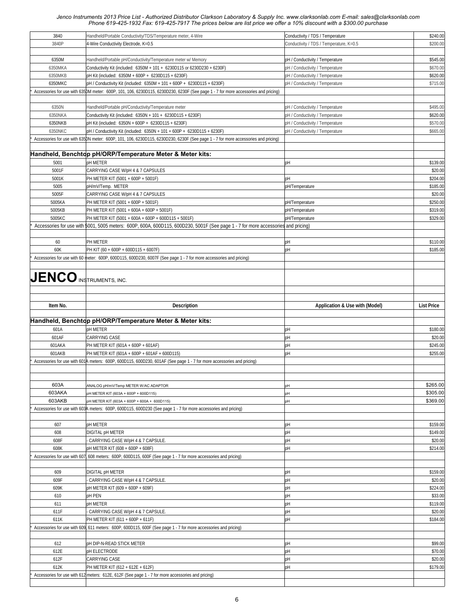| 3840                           | Handheld/Portable Conductivity/TDS/Temperature meter, 4-Wire                                                                      | Conductivity / TDS / Temperature        | \$240.00          |
|--------------------------------|-----------------------------------------------------------------------------------------------------------------------------------|-----------------------------------------|-------------------|
| 3840P                          | 4-Wire Conductivity Electrode, K=0.5                                                                                              | Conductivity / TDS / Temperature, K=0.5 | \$200.00          |
|                                |                                                                                                                                   |                                         |                   |
|                                |                                                                                                                                   |                                         |                   |
| 6350M                          | Handheld/Portable pH/Conductivity/Temperature meter w/ Memory                                                                     | pH / Conductivity / Temperature         | \$545.00          |
| 6350MKA                        | Conductivity Kit (included: 6350M + 101 + 6230D115 or 6230D230 + 6230F)                                                           | pH / Conductivity / Temperature         | \$670.00          |
| 6350MKB                        | pH Kit (included: 6350M + 600P + 6230D115 + 6230F)                                                                                | pH / Conductivity / Temperature         | \$620.00          |
| 6350MKC                        | pH / Conductivity Kit (included: 6350M + 101 + 600P + 6230D115 + 6230F)                                                           | pH / Conductivity / Temperature         | \$715.00          |
|                                | Accessories for use with 6350M meter: 600P, 101, 106, 6230D115, 6230D230, 6230F (See page 1 - 7 for more accessories and pricing) |                                         |                   |
|                                |                                                                                                                                   |                                         |                   |
| 6350N                          | Handheld/Portable pH/Conductivity/Temperature meter                                                                               | pH / Conductivity / Temperature         | \$495.00          |
|                                |                                                                                                                                   |                                         | \$620.00          |
| 6350NKA                        | Conductivity Kit (included: 6350N + 101 + 6230D115 + 6230F)                                                                       | pH / Conductivity / Temperature         |                   |
| 6350NKB                        | pH Kit (included: 6350N + 600P + 6230D115 + 6230F)                                                                                | pH / Conductivity / Temperature         | \$570.00          |
| 6350NKC                        | pH / Conductivity Kit (included: 6350N + 101 + 600P + 6230D115 + 6230F)                                                           | pH / Conductivity / Temperature         | \$665.00          |
|                                | Accessories for use with 6350N meter: 600P, 101, 106, 6230D115, 6230D230, 6230F (See page 1 - 7 for more accessories and pricing) |                                         |                   |
|                                |                                                                                                                                   |                                         |                   |
|                                | Handheld, Benchtop pH/ORP/Temperature Meter & Meter kits:                                                                         |                                         |                   |
| 5001                           | <b>pH METER</b>                                                                                                                   | pH                                      | \$139.00          |
| 5001F                          | CARRYING CASE W/pH 4 & 7 CAPSULES                                                                                                 |                                         | \$20.00           |
| 5001K                          | PH METER KIT (5001 + 600P + 5001F)                                                                                                | pH                                      | \$204.00          |
|                                |                                                                                                                                   |                                         |                   |
| 5005                           | pH/mV/Temp. METER                                                                                                                 | pH/Temperature                          | \$185.00          |
| 5005F                          | CARRYING CASE W/pH 4 & 7 CAPSULES                                                                                                 |                                         | \$20.00           |
| 5005KA                         | PH METER KIT (5001 + 600P + 5001F)                                                                                                | pH/Temperature                          | \$250.00          |
| 5005KB                         | PH METER KIT (5001 + 600A + 600P + 5001F)                                                                                         | pH/Temperature                          | \$319.00          |
| 5005KC                         | PH METER KIT (5001 + 600A + 600P + 600D115 + 5001F)                                                                               | pH/Temperature                          | \$329.00          |
|                                | Accessories for use with 5001, 5005 meters: 600P, 600A, 600D115, 600D230, 5001F (See page 1 - 7 for more accessories and pricing) |                                         |                   |
|                                |                                                                                                                                   |                                         |                   |
| 60                             | PH METER                                                                                                                          | pH                                      | \$110.00          |
|                                |                                                                                                                                   |                                         |                   |
| 60K                            | PH KIT (60 + 600P + 600D115 + 6007F)                                                                                              | pH                                      | \$185.00          |
|                                | Accessories for use with 60 meter: 600P, 600D115, 600D230, 6007F (See page 1 - 7 for more accessories and pricing)                |                                         |                   |
|                                |                                                                                                                                   |                                         |                   |
|                                |                                                                                                                                   |                                         |                   |
| <b>JENCO INSTRUMENTS, INC.</b> |                                                                                                                                   |                                         |                   |
|                                |                                                                                                                                   |                                         |                   |
|                                |                                                                                                                                   |                                         |                   |
| Item No.                       | <b>Description</b>                                                                                                                | Application & Use with (Model)          | <b>List Price</b> |
|                                |                                                                                                                                   |                                         |                   |
|                                |                                                                                                                                   |                                         |                   |
|                                |                                                                                                                                   |                                         |                   |
|                                | Handheld, Benchtop pH/ORP/Temperature Meter & Meter kits:                                                                         |                                         |                   |
| 601A                           | <b>pH METER</b>                                                                                                                   | pH                                      | \$180.00          |
| 601AF                          | CARRYING CASE                                                                                                                     | pH                                      | \$20.00           |
| 601AKA                         | PH METER KIT (601A + 600P + 601AF)                                                                                                | pH                                      | \$245.00          |
| 601AKB                         | PH METER KIT (601A + 600P + 601AF + 600D115)                                                                                      | pH                                      | \$255.00          |
|                                | Accessories for use with 601A meters: 600P, 600D115, 600D230, 601AF (See page 1 - 7 for more accessories and pricing)             |                                         |                   |
|                                |                                                                                                                                   |                                         |                   |
|                                |                                                                                                                                   |                                         |                   |
|                                |                                                                                                                                   |                                         |                   |
| 603A                           | ANALOG pH/mV/Temp METER W/AC ADAPTOR                                                                                              | pH                                      | \$265.00          |
| 603AKA                         | pH METER KIT (603A + 600P + 600D115)                                                                                              | pH                                      | \$305.00          |
| 603AKB                         | pH METER KIT (603A + 600P + 600A + 600D115)                                                                                       | pH                                      | \$369.00          |
|                                | Accessories for use with 603A meters: 600P, 600D115, 600D230 (See page 1 - 7 for more accessories and pricing)                    |                                         |                   |
|                                |                                                                                                                                   |                                         |                   |
| 607                            | pH METER                                                                                                                          | pH                                      | \$159.00          |
| 608                            | DIGITAL pH METER                                                                                                                  | pH                                      | \$149.00          |
| 608F                           | CARRYING CASE W/pH 4 & 7 CAPSULE.                                                                                                 | pH                                      | \$20.00           |
|                                |                                                                                                                                   |                                         |                   |
| 608K                           | pH METER KIT (608 + 600P + 608F)                                                                                                  | pH                                      | \$214.00          |
|                                | Accessories for use with 607, 608 meters: 600P, 600D115, 600F (See page 1 - 7 for more accessories and pricing)                   |                                         |                   |
|                                |                                                                                                                                   |                                         |                   |
| 609                            | DIGITAL pH METER                                                                                                                  | pH                                      | \$159.00          |
| 609F                           | CARRYING CASE W/pH 4 & 7 CAPSULE.                                                                                                 | pH                                      | \$20.00           |
| 609K                           | pH METER KIT (609 + 600P + 609F)                                                                                                  | pH                                      | \$224.00          |
| 610                            | pH PEN                                                                                                                            | pH                                      | \$33.00           |
| 611                            | <b>pH METER</b>                                                                                                                   | pH                                      | \$119.00          |
| 611F                           | CARRYING CASE W/pH 4 & 7 CAPSULE.                                                                                                 | pH                                      | \$20.00           |
|                                |                                                                                                                                   |                                         |                   |
| 611K                           | PH METER KIT (611 + 600P + 611F)                                                                                                  | pH                                      | \$184.00          |
|                                | Accessories for use with 609, 611 meters: 600P, 600D115, 600F (See page 1 - 7 for more accessories and pricing)                   |                                         |                   |
|                                |                                                                                                                                   |                                         |                   |
| 612                            | <b>pH DIP-N-READ STICK METER</b>                                                                                                  | pH                                      | \$99.00           |
| 612E                           | <b>DH ELECTRODE</b>                                                                                                               | pH                                      | \$70.00           |
| 612F                           | CARRYING CASE                                                                                                                     | pH                                      | \$20.00           |
| 612K                           | PH METER KIT (612 + 612E + 612F)                                                                                                  | pH                                      | \$179.00          |
|                                | Accessories for use with 612 meters: 612E, 612F (See page 1 - 7 for more accessories and pricing)                                 |                                         |                   |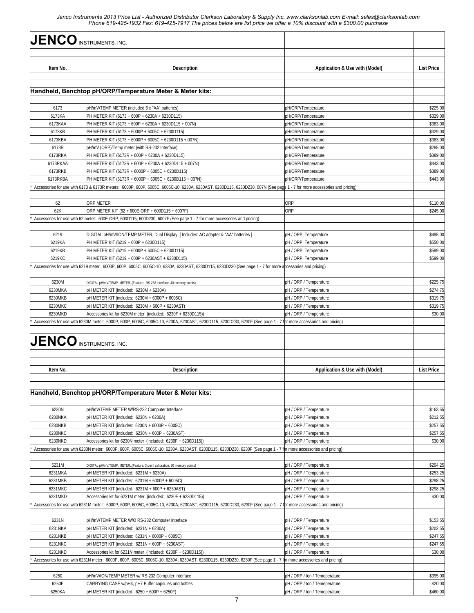| <b>JENCO INSTRUMENTS, INC.</b> |                                                                                                                                                                                                                                  |                                          |                      |
|--------------------------------|----------------------------------------------------------------------------------------------------------------------------------------------------------------------------------------------------------------------------------|------------------------------------------|----------------------|
|                                |                                                                                                                                                                                                                                  |                                          |                      |
|                                |                                                                                                                                                                                                                                  |                                          |                      |
| Item No.                       | <b>Description</b>                                                                                                                                                                                                               | Application & Use with (Model)           | <b>List Price</b>    |
|                                |                                                                                                                                                                                                                                  |                                          |                      |
|                                | Handheld, Benchtop pH/ORP/Temperature Meter & Meter kits:                                                                                                                                                                        |                                          |                      |
|                                |                                                                                                                                                                                                                                  |                                          |                      |
| 6173                           | pH/mV/TEMP METER (included 6 x "AA" batteries)                                                                                                                                                                                   | pH/ORP/Temperature                       | \$225.00             |
| 6173KA<br>6173KAA              | PH METER KIT (6173 + 600P + 6230A + 6230D115)<br>PH METER KIT (6173 + 600P + 6230A + 6230D115 + 007N)                                                                                                                            | pH/ORP/Temperature<br>pH/ORP/Temperature | \$329.00<br>\$383.00 |
| 6173KB                         | PH METER KIT (6173 + 6000P + 6005C + 6230D115)                                                                                                                                                                                   | pH/ORP/Temperature                       | \$329.00             |
| 6173KBA                        | PH METER KIT (6173 + 6000P + 6005C + 6230D115 + 007N)                                                                                                                                                                            | pH/ORP/Temperature                       | \$383.00             |
| 6173R                          | pH/mV (ORP)/Temp meter (with RS-232 Interface)                                                                                                                                                                                   | pH/ORP/Temperature                       | \$285.00             |
| 6173RKA                        | PH METER KIT (6173R + 600P + 6230A + 6230D115)                                                                                                                                                                                   | pH/ORP/Temperature                       | \$389.00             |
| 6173RKAA                       | PH METER KIT (6173R + 600P + 6230A + 6230D115 + 007N)                                                                                                                                                                            | pH/ORP/Temperature                       | \$443.00             |
| 6173RKB                        | PH METER KIT (6173R + 6000P + 6005C + 6230D115)                                                                                                                                                                                  | pH/ORP/Temperature                       | \$389.00             |
| 6173RKBA                       | PH METER KIT (6173R + 6000P + 6005C + 6230D115 + 007N)                                                                                                                                                                           | pH/ORP/Temperature                       | \$443.00             |
|                                | Accessories for use with 617B & 6173R meters: 6000P, 600P, 6005C, 6005C-10, 6230A, 6230AST, 6230D115, 6230D230, 007N (See page 1 - 7 for more accessories and pricing)                                                           |                                          |                      |
|                                |                                                                                                                                                                                                                                  |                                          |                      |
| 62                             | <b>ORP METER</b>                                                                                                                                                                                                                 | ORP                                      | \$110.00             |
| 62K                            | ORP METER KIT (62 + 600E-ORP + 600D115 + 6007F)                                                                                                                                                                                  | <b>ORP</b>                               | \$245.00             |
|                                | Accessories for use with 62 meter: 600E-ORP, 600D115, 600D230, 6007F (See page 1 - 7 for more accessories and pricing)                                                                                                           |                                          |                      |
|                                |                                                                                                                                                                                                                                  |                                          |                      |
| 6219                           | DIGITAL pH/mV/ION/TEMP METER, Dual Display[ Includes: AC adapter & "AA" batteries ]                                                                                                                                              | pH / ORP, Temperature                    | \$495.00             |
| 6219KA                         | PH METER KIT (6219 + 600P + 6230D115)                                                                                                                                                                                            | pH / ORP, Temperature                    | \$550.00             |
| 6219KB                         | PH METER KIT (6219 + 6000P + 6005C + 6230D115)                                                                                                                                                                                   | pH / ORP, Temperature                    | \$599.00             |
| 6219KC                         | PH METER KIT (6219 + 600P + 6230AST + 6230D115)                                                                                                                                                                                  | pH / ORP, Temperature                    | \$599.00             |
|                                | Accessories for use with 6219 meter: 6000P, 600P, 6005C, 6005C-10, 6230A, 6230AST, 6230D115, 6230D230 (See page 1 - 7 for more accessories and pricing)                                                                          |                                          |                      |
|                                |                                                                                                                                                                                                                                  |                                          |                      |
| 6230M                          | DIGITAL pH/mV/TEMP. METER(Feature: RS-232 interface, 40 memory points)                                                                                                                                                           | pH / ORP / Temperature                   | \$225.75             |
| 6230MKA                        | pH METER KIT (included: 6230M + 6230A)                                                                                                                                                                                           | pH / ORP / Temperature                   | \$274.75             |
| 6230MKB                        | pH METER KIT (includes: 6230M + 6000P + 6005C)                                                                                                                                                                                   | pH / ORP / Temperature                   | \$319.75             |
| 6230MKC<br>6230MKD             | pH METER KIT (included: 6230M + 600P + 6230AST)                                                                                                                                                                                  | pH / ORP / Temperature                   | \$319.75<br>\$30.00  |
|                                | Accessories kit for 6230M meter (included: 6230F + 6230D115))<br>Accessories for use with 6230M meter: 6000P, 600P, 6005C, 6005C-10, 6230A, 6230AST, 6230D115, 6230D230, 6230F (See page 1 - 7 for more accessories and pricing) | pH / ORP / Temperature                   |                      |
|                                |                                                                                                                                                                                                                                  |                                          |                      |
| $JENCO$ instruments, inc.      |                                                                                                                                                                                                                                  |                                          |                      |
|                                |                                                                                                                                                                                                                                  |                                          |                      |
|                                |                                                                                                                                                                                                                                  |                                          |                      |
| Item No.                       | <b>Description</b>                                                                                                                                                                                                               | Application & Use with (Model)           | <b>List Price</b>    |
|                                |                                                                                                                                                                                                                                  |                                          |                      |
|                                |                                                                                                                                                                                                                                  |                                          |                      |
|                                | Handheld, Benchtop pH/ORP/Temperature Meter & Meter kits:                                                                                                                                                                        |                                          |                      |
|                                |                                                                                                                                                                                                                                  |                                          |                      |
| 6230N                          | pH/mV/TEMP METER W/RS-232 Computer Interface                                                                                                                                                                                     | pH / ORP / Temperature                   | \$163.55             |
| 6230NKA                        | pH METER KIT (included: 6230N + 6230A)                                                                                                                                                                                           | pH / ORP / Temperature                   | \$212.55             |
| 6230NKB                        | pH METER KIT (includes: 6230N + 6000P + 6005C)                                                                                                                                                                                   | pH / ORP / Temperature                   | \$257.55             |
| 6230NKC                        | pH METER KIT (included: 6230N + 600P + 6230AST)                                                                                                                                                                                  | pH / ORP / Temperature                   | \$257.55             |
| 6230NKD                        | Accessories kit for 6230N meter (included: 6230F + 6230D115))                                                                                                                                                                    | pH / ORP / Temperature                   | \$30.00              |
|                                | Accessories for use with 623DN meter: 6000P, 600P, 6005C, 6005C-10, 6230A, 6230AST, 6230D115, 6230D230, 6230F (See page 1 - 7 fbr more accessories and pricing)                                                                  |                                          |                      |
|                                |                                                                                                                                                                                                                                  |                                          |                      |
| 6231M                          | DIGITAL pH/mV/TEMP. METER(Feature: 3 point calibration, 50 memory points)                                                                                                                                                        | pH / ORP / Temperature                   | \$204.25             |
| 6231MKA                        | pH METER KIT (included: 6231M + 6230A)                                                                                                                                                                                           | pH / ORP / Temperature                   | \$253.25             |
| 6231MKB                        | pH METER KIT (includes: 6231M + 6000P + 6005C)                                                                                                                                                                                   | pH / ORP / Temperature                   | \$298.25             |
| 6231MKC                        | pH METER KIT (included: 6231M + 600P + 6230AST)                                                                                                                                                                                  | pH / ORP / Temperature                   | \$298.25             |
| 6231MKD                        | Accessories kit for 6231M meter (included: 6230F + 6230D115))                                                                                                                                                                    | pH / ORP / Temperature                   | \$30.00              |
|                                | Accessories for use with 623LM meter: 6000P, 600P, 6005C, 6005C-10, 6230A, 6230AST, 6230D115, 6230D230, 6230F (See page 1 - 7 for more accessories and pricing)                                                                  |                                          |                      |
|                                |                                                                                                                                                                                                                                  |                                          |                      |
| 6231N                          | pH/mV/TEMP METER W/O RS-232 Computer Interface                                                                                                                                                                                   | pH / ORP / Temperature                   | \$153.55             |
| 6231NKA                        | pH METER KIT (included: 6231N + 6230A)                                                                                                                                                                                           | pH / ORP / Temperature                   | \$202.55             |
| 6231NKB                        | pH METER KIT (includes: 6231N + 6000P + 6005C)                                                                                                                                                                                   | pH / ORP / Temperature                   | \$247.55             |
| 6231NKC                        | pH METER KIT (included: 6231N + 600P + 6230AST)                                                                                                                                                                                  | pH / ORP / Temperature                   | \$247.55             |
| 6231NKD                        | Accessories kit for 6231N meter (included: 6230F + 6230D115))                                                                                                                                                                    | pH / ORP / Temperature                   | \$30.00              |
|                                | Accessories for use with 623LN meter: 6000P, 600P, 6005C, 6005C-10, 6230A, 6230AST, 6230D115, 6230D230, 6230F (See page 1 - 7 fbr more accessories and pricing)                                                                  |                                          |                      |
|                                |                                                                                                                                                                                                                                  |                                          |                      |
| 6250                           | pH/mV/ION/TEMP METER w/ RS-232 Computer Interface                                                                                                                                                                                | pH / ORP / Ion / Temeperature            | \$395.00             |
| 6250F                          | CARRYING CASE w/pH4, pH7 Buffer capsules and bottles                                                                                                                                                                             | pH / ORP / Ion / Temeperature            | \$20.00              |
| 6250KA                         | pH METER KIT (included: 6250 + 600P + 6250F)                                                                                                                                                                                     | pH / ORP / Ion / Temeperature            | \$460.00             |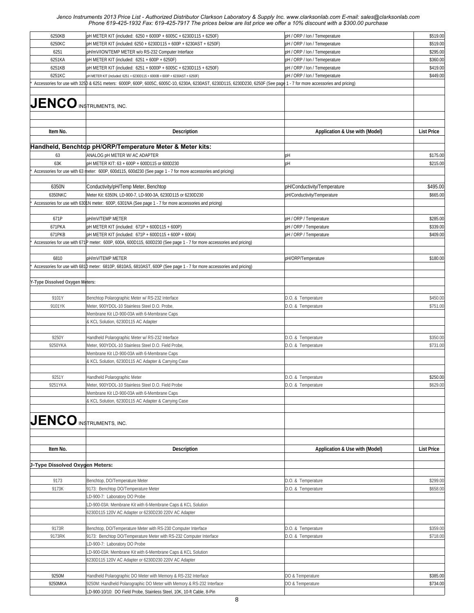| 6250KB                          | pH METER KIT (included: 6250 + 6000P + 6005C + 6230D115 + 6250F)                                                                                                       | pH / ORP / Ion / Temeperature  | \$519.00          |
|---------------------------------|------------------------------------------------------------------------------------------------------------------------------------------------------------------------|--------------------------------|-------------------|
| 6250KC                          | pH METER KIT (included: 6250 + 6230D115 + 600P + 6230AST + 6250F)                                                                                                      | pH / ORP / Ion / Temeperature  | \$519.00          |
|                                 |                                                                                                                                                                        |                                |                   |
| 6251                            | pH/mV/ION/TEMP METER w/o RS-232 Computer Interface                                                                                                                     | pH / ORP / Ion / Temeperature  | \$295.00          |
| 6251KA                          | pH METER KIT (included: 6251 + 600P + 6250F)                                                                                                                           | pH / ORP / Ion / Temeperature  | \$360.00          |
| 6251KB                          | pH METER KIT (included: 6251 + 6000P + 6005C + 6230D115 + 6250F)                                                                                                       | pH / ORP / Ion / Temeperature  | \$419.00          |
| 6251KC                          | pH METER KIT (included: 6251 + 6230D115 + 6000B + 600P + 6230AST + 6250F)                                                                                              | pH / ORP / Ion / Temeperature  | \$449.00          |
|                                 | Accessories for use with 325p & 6251 meters: 6000P, 600P, 6005C, 6005C-10, 6230A, 6230AST, 6230D115, 6230D230, 6250F (See page 1 - 7 for more accessories and pricing) |                                |                   |
|                                 |                                                                                                                                                                        |                                |                   |
|                                 |                                                                                                                                                                        |                                |                   |
| <b>JENCO</b> INSTRUMENTS, INC.  |                                                                                                                                                                        |                                |                   |
|                                 |                                                                                                                                                                        |                                |                   |
|                                 |                                                                                                                                                                        |                                |                   |
|                                 |                                                                                                                                                                        |                                |                   |
| Item No.                        | <b>Description</b>                                                                                                                                                     | Application & Use with (Model) | <b>List Price</b> |
|                                 |                                                                                                                                                                        |                                |                   |
|                                 |                                                                                                                                                                        |                                |                   |
|                                 | Handheld, Benchtop pH/ORP/Temperature Meter & Meter kits:                                                                                                              |                                |                   |
| 63                              | ANALOG pH METER W/ AC ADAPTER                                                                                                                                          | pH                             | \$175.00          |
| 63K                             | pH METER KIT: 63 + 600P + 600D115 or 600D230                                                                                                                           | pH                             | \$215.00          |
|                                 |                                                                                                                                                                        |                                |                   |
|                                 | Accessories for use with 63 meter: 600P, 600d115, 600d230 (See page 1 - 7 for more accessories and pricing)                                                            |                                |                   |
|                                 |                                                                                                                                                                        |                                |                   |
| 6350N                           | Conductivity/pH/Temp Meter, Benchtop                                                                                                                                   | pH/Conductivity/Temperature    | \$495.00          |
| 6350NKC                         | Meter Kit: 6350N, LD-900-7, LD-900-3A, 6230D115 or 6230D230                                                                                                            | pH/Conductivity/Temperature    | \$665.00          |
|                                 | Accessories for use with 630LN meter: 600P, 6301NA (See page 1 - 7 for more accessories and pricing)                                                                   |                                |                   |
|                                 |                                                                                                                                                                        |                                |                   |
|                                 |                                                                                                                                                                        |                                |                   |
| 671P                            | pH/mV/TEMP METER                                                                                                                                                       | pH / ORP / Temperature         | \$285.00          |
| 671PKA                          | pH METER KIT (included: 671P + 600D115 + 600P)                                                                                                                         | pH / ORP / Temperature         | \$339.00          |
| 671PKB                          | pH METER KIT (included: 671P + 600D115 + 600P + 600A)                                                                                                                  | pH / ORP / Temperature         | \$409.00          |
|                                 | Accessories for use with 671P meter: 600P, 600A, 600D115, 600D230 (See page 1 - 7 for more accessories and pricing)                                                    |                                |                   |
|                                 |                                                                                                                                                                        |                                |                   |
|                                 |                                                                                                                                                                        |                                |                   |
| 6810                            | pH/mV/TEMP METER                                                                                                                                                       | pH/ORP/Temperature             | \$180.00          |
|                                 | Accessories for use with 6810 meter: 6810P, 6810AS, 6810AST, 600P (See page 1 - 7 for more accessories and pricing)                                                    |                                |                   |
|                                 |                                                                                                                                                                        |                                |                   |
| Y-Type Dissolved Oxygen Meters: |                                                                                                                                                                        |                                |                   |
|                                 |                                                                                                                                                                        |                                |                   |
|                                 |                                                                                                                                                                        |                                |                   |
| 9101Y                           | Benchtop Polarographic Meter w/ RS-232 Interface                                                                                                                       | D.O. & Temperature             | \$450.00          |
| 9101YK                          | Meter, 900YDOL-10 Stainless Steel D.O. Probe,                                                                                                                          | D.O. & Temperature             | \$751.00          |
|                                 | Membrane Kit LD-900-03A with 6-Membrane Caps                                                                                                                           |                                |                   |
|                                 | & KCL Solution, 6230D115 AC Adapter                                                                                                                                    |                                |                   |
|                                 |                                                                                                                                                                        |                                |                   |
|                                 |                                                                                                                                                                        |                                |                   |
| 9250Y                           | Handheld Polarographic Meter w/ RS-232 Interface                                                                                                                       | D.O. & Temperature             | \$350.00          |
| 9250YKA                         | Meter, 900YDOL-10 Stainless Steel D.O. Field Probe,                                                                                                                    | D.O. & Temperature             | \$731.00          |
|                                 | Membrane Kit LD-900-03A with 6-Membrane Caps                                                                                                                           |                                |                   |
|                                 | & KCL Solution, 6230D115 AC Adapter & Carrying Case                                                                                                                    |                                |                   |
|                                 |                                                                                                                                                                        |                                |                   |
| 9251Y                           | Handheld Polarographic Meter                                                                                                                                           | D.O. & Temperature             | \$250.00          |
|                                 |                                                                                                                                                                        |                                |                   |
| 9251YKA                         | Meter, 900YDOL-10 Stainless Steel D.O. Field Probe                                                                                                                     | D.O. & Temperature             | \$629.00          |
|                                 | Membrane Kit LD-900-03A with 6-Membrane Caps                                                                                                                           |                                |                   |
|                                 | & KCL Solution, 6230D115 AC Adapter & Carrying Case                                                                                                                    |                                |                   |
|                                 |                                                                                                                                                                        |                                |                   |
|                                 |                                                                                                                                                                        |                                |                   |
| <b>JENCO INSTRUMENTS, INC.</b>  |                                                                                                                                                                        |                                |                   |
|                                 |                                                                                                                                                                        |                                |                   |
|                                 |                                                                                                                                                                        |                                |                   |
|                                 |                                                                                                                                                                        |                                |                   |
| Item No.                        | <b>Description</b>                                                                                                                                                     | Application & Use with (Model) | <b>List Price</b> |
|                                 |                                                                                                                                                                        |                                |                   |
| J-Type Dissolved Oxygen Meters: |                                                                                                                                                                        |                                |                   |
|                                 |                                                                                                                                                                        |                                |                   |
|                                 |                                                                                                                                                                        |                                |                   |
| 9173                            | Benchtop, DO/Temperature Meter                                                                                                                                         | D.O. & Temperature             | \$299.00          |
| 9173K                           | 9173: Benchtop DO/Temperature Meter                                                                                                                                    | D.O. & Temperature             | \$658.00          |
|                                 | LD-900-7: Laboratory DO Probe                                                                                                                                          |                                |                   |
|                                 |                                                                                                                                                                        |                                |                   |
|                                 | LD-900-03A: Membrane Kit with 6-Membrane Caps & KCL Solution                                                                                                           |                                |                   |
|                                 | 6230D115 120V AC Adapter or 6230D230 220V AC Adapter                                                                                                                   |                                |                   |
|                                 |                                                                                                                                                                        |                                |                   |
| 9173R                           | Benchtop, DO/Temperature Meter with RS-230 Computer Interface                                                                                                          | D.O. & Temperature             | \$359.00          |
| 9173RK                          | 9173: Benchtop DO/Temperature Meter with RS-232 Computer Interface                                                                                                     | D.O. & Temperature             | \$718.00          |
|                                 |                                                                                                                                                                        |                                |                   |
|                                 | LD-900-7: Laboratory DO Probe                                                                                                                                          |                                |                   |
|                                 | LD-900-03A: Membrane Kit with 6-Membrane Caps & KCL Solution                                                                                                           |                                |                   |
|                                 | 6230D115 120V AC Adapter or 6230D230 220V AC Adapter                                                                                                                   |                                |                   |
|                                 |                                                                                                                                                                        |                                |                   |
| 9250M                           | Handheld Polarographic DO Meter with Memory & RS-232 Interface                                                                                                         | DO & Temperature               | \$385.00          |
| 9250MKA                         | 9250M: Handheld Polarographic DO Meter with Memory & RS-232 Interface                                                                                                  | DO & Temperature               | \$734.00          |
|                                 |                                                                                                                                                                        |                                |                   |
|                                 | LD-900-10/10: DO Field Probe, Stainless Steel, 10K, 10-ft Cable, 8-Pin                                                                                                 |                                |                   |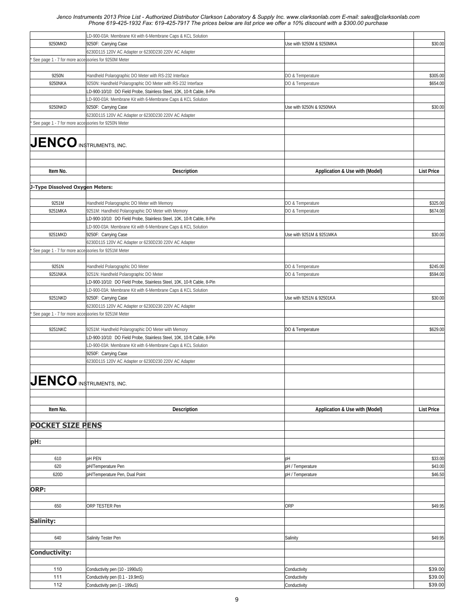|                                                     | LD-900-03A: Membrane Kit with 6-Membrane Caps & KCL Solution                 |                                |                   |
|-----------------------------------------------------|------------------------------------------------------------------------------|--------------------------------|-------------------|
| 9250MKD                                             | 9250F: Carrying Case                                                         | Use with 9250M & 9250MKA       | \$30.00           |
|                                                     | 6230D115 120V AC Adapter or 6230D230 220V AC Adapter                         |                                |                   |
| See page 1 - 7 for more accessories for 9250M Meter |                                                                              |                                |                   |
|                                                     |                                                                              |                                |                   |
| 9250N                                               | Handheld Polarographic DO Meter with RS-232 Interface                        | DO & Temperature               | \$305.00          |
| 9250NKA                                             | 9250N: Handheld Polarographic DO Meter with RS-232 Interface                 | DO & Temperature               | \$654.00          |
|                                                     | LD-900-10/10: DO Field Probe, Stainless Steel, 10K, 10-ft Cable, 8-Pin       |                                |                   |
|                                                     | LD-900-03A: Membrane Kit with 6-Membrane Caps & KCL Solution                 |                                |                   |
| 9250NKD                                             | 9250F: Carrying Case                                                         | Use with 9250N & 9250NKA       | \$30.00           |
|                                                     | 6230D115 120V AC Adapter or 6230D230 220V AC Adapter                         |                                |                   |
| See page 1 - 7 for more accessories for 9250N Meter |                                                                              |                                |                   |
| <b>JENCO INSTRUMENTS, INC.</b>                      |                                                                              |                                |                   |
|                                                     |                                                                              |                                |                   |
|                                                     |                                                                              |                                |                   |
| Item No.                                            | <b>Description</b>                                                           | Application & Use with (Model) | <b>List Price</b> |
|                                                     |                                                                              |                                |                   |
| J-Type Dissolved Oxygen Meters:                     |                                                                              |                                |                   |
| 9251M                                               | Handheld Polarographic DO Meter with Memory                                  | DO & Temperature               | \$325.00          |
| 9251MKA                                             | 9251M: Handheld Polarographic DO Meter with Memory                           | DO & Temperature               | \$674.00          |
|                                                     | LD-900-10/10: DO Field Probe, Stainless Steel, 10K, 10-ft Cable, 8-Pin       |                                |                   |
|                                                     | LD-900-03A: Membrane Kit with 6-Membrane Caps & KCL Solution                 |                                |                   |
| 9251MKD                                             | 9250F: Carrying Case                                                         | Use with 9251M & 9251MKA       | \$30.00           |
|                                                     | 6230D115 120V AC Adapter or 6230D230 220V AC Adapter                         |                                |                   |
| See page 1 - 7 for more accessories for 9251M Meter |                                                                              |                                |                   |
|                                                     |                                                                              |                                |                   |
| 9251N                                               | Handheld Polarographic DO Meter                                              | DO & Temperature               | \$245.00          |
| 9251NKA                                             | 9251N: Handheld Polarographic DO Meter                                       | DO & Temperature               | \$594.00          |
|                                                     | LD-900-10/10: DO Field Probe, Stainless Steel, 10K, 10-ft Cable, 8-Pin       |                                |                   |
| 9251NKD                                             | LD-900-03A: Membrane Kit with 6-Membrane Caps & KCL Solution                 | Use with 9251N & 92501KA       | \$30.00           |
|                                                     | 9250F: Carrying Case<br>6230D115 120V AC Adapter or 6230D230 220V AC Adapter |                                |                   |
| See page 1 - 7 for more accessories for 9251M Meter |                                                                              |                                |                   |
|                                                     |                                                                              |                                |                   |
| 9251NKC                                             | 9251M: Handheld Polarographic DO Meter with Memory                           | DO & Temperature               | \$629.00          |
|                                                     | LD-900-10/10: DO Field Probe, Stainless Steel, 10K, 10-ft Cable, 8-Pin       |                                |                   |
|                                                     | LD-900-03A: Membrane Kit with 6-Membrane Caps & KCL Solution                 |                                |                   |
|                                                     | 9250F: Carrying Case                                                         |                                |                   |
|                                                     | 6230D115 120V AC Adapter or 6230D230 220V AC Adapter                         |                                |                   |
|                                                     |                                                                              |                                |                   |
|                                                     |                                                                              |                                |                   |
| <b>JENCO</b> INSTRUMENTS, INC.                      |                                                                              |                                |                   |
|                                                     |                                                                              |                                |                   |
|                                                     |                                                                              |                                |                   |
| Item No.                                            | <b>Description</b>                                                           | Application & Use with (Model) | <b>List Price</b> |
|                                                     |                                                                              |                                |                   |
| <b>POCKET SIZE PENS</b>                             |                                                                              |                                |                   |
|                                                     |                                                                              |                                |                   |
| pH:                                                 |                                                                              |                                |                   |
|                                                     |                                                                              |                                |                   |
| 610                                                 | pH PEN                                                                       | pH                             | \$33.00           |
| 620                                                 | pH/Temperature Pen                                                           | pH / Temperature               | \$43.00           |
| 620D                                                | pH/Temperature Pen, Dual Point                                               | pH / Temperature               | \$46.50           |
|                                                     |                                                                              |                                |                   |
| ORP:                                                |                                                                              |                                |                   |
|                                                     |                                                                              |                                |                   |
| 650                                                 | ORP TESTER Pen                                                               | ORP                            | \$49.95           |
|                                                     |                                                                              |                                |                   |
| Salinity:                                           |                                                                              |                                |                   |
|                                                     |                                                                              |                                |                   |
| 640                                                 | Salinity Tester Pen                                                          | Salinity                       | \$49.95           |
|                                                     |                                                                              |                                |                   |
| <b>Conductivity:</b>                                |                                                                              |                                |                   |
|                                                     |                                                                              |                                |                   |
| 110                                                 | Conductivity pen (10 - 1990uS)                                               | Conductivity                   | \$39.00           |
| 111                                                 | Conductivity pen (0.1 - 19.9mS)                                              | Conductivity                   | \$39.00           |
| 112                                                 | Conductivity pen (1 - 199uS)                                                 | Conductivity                   | \$39.00           |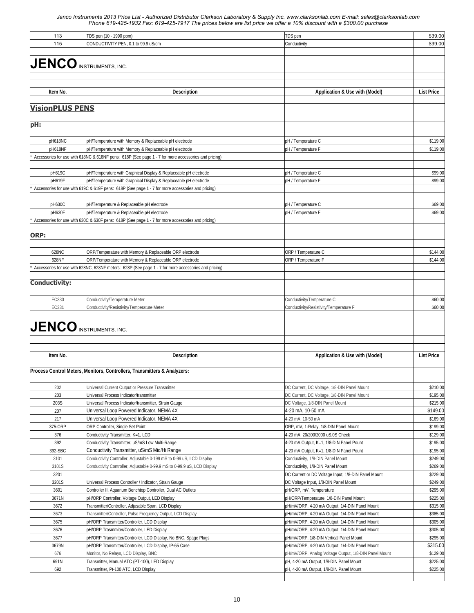| 113                            | TDS pen (10 - 1990 ppm)                                                                              | TDS pen                                               | \$39.00           |
|--------------------------------|------------------------------------------------------------------------------------------------------|-------------------------------------------------------|-------------------|
| 115                            | CONDUCTIVITY PEN, 0.1 to 99.9 uS/cm                                                                  | Conductivity                                          | \$39.00           |
|                                |                                                                                                      |                                                       |                   |
|                                |                                                                                                      |                                                       |                   |
| <b>JENCO INSTRUMENTS, INC.</b> |                                                                                                      |                                                       |                   |
|                                |                                                                                                      |                                                       |                   |
|                                |                                                                                                      |                                                       |                   |
| Item No.                       | <b>Description</b>                                                                                   | Application & Use with (Model)                        | <b>List Price</b> |
|                                |                                                                                                      |                                                       |                   |
| <b>VisionPLUS PENS</b>         |                                                                                                      |                                                       |                   |
|                                |                                                                                                      |                                                       |                   |
| pH:                            |                                                                                                      |                                                       |                   |
|                                |                                                                                                      |                                                       |                   |
| pH618NC                        | pH/Temperature with Memory & Replaceable pH electrode                                                | pH / Temperature C                                    | \$119.00          |
| pH618NF                        | pH/Temperature with Memory & Replaceable pH electrode                                                | pH / Temperature F                                    | \$119.00          |
|                                | Accessories for use with 618NC & 618NF pens: 618P (See page 1 - 7 for more accessories and pricing)  |                                                       |                   |
|                                |                                                                                                      |                                                       |                   |
| pH619C                         | pH/Temperature with Graphical Display & Replaceable pH electrode                                     | pH / Temperature C                                    | \$99.00           |
| pH619F                         | pH/Temperature with Graphical Display & Replaceable pH electrode                                     | pH / Temperature F                                    | \$99.00           |
|                                | Accessories for use with 619C & 619F pens: 618P (See page 1 - 7 for more accessories and pricing)    |                                                       |                   |
|                                |                                                                                                      |                                                       |                   |
| pH630C                         | pH/Temperature & Replaceable pH electrode                                                            | pH / Temperature C                                    | \$69.00           |
| pH630F                         | pH/Temperature & Replaceable pH electrode                                                            | pH / Temperature F                                    | \$69.00           |
|                                | Accessories for use with 630C & 630F pens: 618P (See page 1 - 7 for more accessories and pricing)    |                                                       |                   |
|                                |                                                                                                      |                                                       |                   |
| ORP:                           |                                                                                                      |                                                       |                   |
|                                |                                                                                                      |                                                       |                   |
| 628NC                          | ORP/Temperature with Memory & Replaceable ORP electrode                                              | ORP / Temperature C                                   | \$144.00          |
| 628NF                          | ORP/Temperature with Memory & Replaceable ORP electrode                                              | ORP / Temperature F                                   | \$144.00          |
|                                | Accessories for use with 628NC, 628NF meters: 628P (See page 1 - 7 for more accessories and pricing) |                                                       |                   |
|                                |                                                                                                      |                                                       |                   |
| <b>Conductivity:</b>           |                                                                                                      |                                                       |                   |
|                                |                                                                                                      |                                                       |                   |
| EC330                          | Conductivity/Temperature Meter                                                                       | Conductivity/Temperature C                            | \$60.00           |
| EC331                          | Conductivity/Resistivity/Temperature Meter                                                           | Conductivity/Resistivity/Temperature F                | \$60.00           |
|                                |                                                                                                      |                                                       |                   |
|                                |                                                                                                      |                                                       |                   |
| <b>JENCO</b> INSTRUMENTS, INC. |                                                                                                      |                                                       |                   |
|                                |                                                                                                      |                                                       |                   |
|                                |                                                                                                      |                                                       |                   |
| Item No.                       | <b>Description</b>                                                                                   | Application & Use with (Model)                        | <b>List Price</b> |
|                                |                                                                                                      |                                                       |                   |
|                                | Process Control Meters, Monitors, Controllers, Transmitters & Analyzers:                             |                                                       |                   |
|                                |                                                                                                      |                                                       |                   |
| 202                            | Universal Current Output or Pressure Transmitter                                                     | DC Current, DC Voltage, 1/8-DIN Panel Mount           | \$210.00          |
| 203                            | Universal Process Indicator/transmitter                                                              | DC Current, DC Voltage, 1/8-DIN Panel Mount           | \$195.00          |
| 203S                           | Universal Process Indicator/transmitter, Strain Gauge                                                | DC Voltage, 1/8-DIN Panel Mount                       | \$215.00          |
| 207                            | Universal Loop Powered Indicator, NEMA 4X                                                            | 4-20 mA, 10-50 mA                                     | \$149.00          |
| 217                            | Universal Loop Powered Indicator, NEMA 4X                                                            | 4-20 mA, 10-50 mA                                     | \$169.00          |
| 375-ORP                        | ORP Controller, Single Set Point                                                                     | ORP, mV, 1-Relay, 1/8-DIN Panel Mount                 | \$199.00          |
| 376                            | Conductivity Transmitter, K=1, LCD                                                                   | 4-20 mA, 20/200/2000 uS.0S Check                      | \$129.00          |
| 392                            | Conductivity Transmitter, uS/mS Low Multi-Range                                                      | 4-20 mA Output, K=1, 1/8-DIN Panel Pount              | \$195.00          |
| 392-SBC                        | Conductivity Transmitter, uS/mS Mid/Hi Range                                                         | 4-20 mA Output, K=1, 1/8-DIN Panel Pount              | \$195.00          |
| 3101                           | Conductivity Controller, Adjustable 0-199 mS to 0-99 uS, LCD Display                                 | Conductivity, 1/8-DIN Panel Mount                     | \$249.00          |
| 3101S                          | Conductivity Controller, Adjustable 0-99.9 mS to 0-99.9 uS, LCD Display                              | Conductivity, 1/8-DIN Panel Mount                     | \$269.00          |
| 3201                           |                                                                                                      | DC Current or DC Voltage Input, 1/8-DIN Panel Mount   | \$229.00          |
| 3201S                          | Universal Process Controller / Indicator, Strain Gauge                                               | DC Voltage Input, 1/8-DIN Panel Mount                 | \$249.00          |
| 3601                           | Controller II, Aquarium Benchtop Controller, Dual AC Outlets                                         | pH/ORP, mV, Temperature                               | \$295.00          |
| 3671N                          | pH/ORP Controller, Voltage Output, LED Display                                                       | pH/ORP/Temperature, 1/8-DIN Panel Mount               | \$225.00          |
| 3672                           | Transmitter/Controller, Adjusable Span, LCD Display                                                  | pH/mV/ORP, 4-20 mA Output, 1/4-DIN Panel Mount        | \$315.00          |
| 3673                           | Transmitter/Controller, Pulse Frequency Output, LCD Display                                          | pH/mV/ORP, 4-20 mA Output, 1/4-DIN Panel Mount        | \$385.00          |
| 3675                           | pH/ORP Transmitter/Controller, LCD Display                                                           | pH/mV/ORP, 4-20 mA Output, 1/4-DIN Panel Mount        | \$305.00          |
| 3676                           | pH/ORP Trasmmiter/Controller, LED Display                                                            | pH/mV/ORP, 4-20 mA Output, 1/4-DIN Panel Mount        | \$305.00          |
| 3677                           | pH/ORP Transmitter/Controller, LCD Display, No BNC, Spage Plugs                                      | pH/mV/ORP, 1/8-DIN Vertical Panel Mount               | \$295.00          |
| 3679N                          | pH/ORP Transmitter/Controller, LCD Display, IP-65 Case                                               | pH/mV/ORP, 4-20 mA Output, 1/4-DIN Panel Mount        | \$315.00          |
| 676                            | Monitor, No Relays, LCD Display, BNC                                                                 | pH/mV/ORP, Analog Voltage Output, 1/8-DIN Panel Mount | \$129.00          |
| 691N                           | Transmitter, Manual ATC (PT-100), LED Display                                                        | pH, 4-20 mA Output, 1/8-DIN Panel Mount               | \$225.00          |
| 692                            | Transmitter, Pt-100 ATC, LCD Display                                                                 | pH, 4-20 mA Output, 1/8-DIN Panel Mount               | \$225.00          |
|                                |                                                                                                      |                                                       |                   |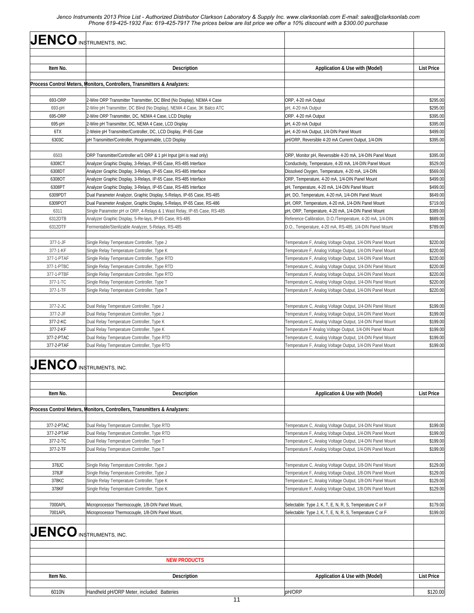| <b>JENCO</b> INSTRUMENTS, INC. |                                                                                                                                                  |                                                                                                                        |                      |
|--------------------------------|--------------------------------------------------------------------------------------------------------------------------------------------------|------------------------------------------------------------------------------------------------------------------------|----------------------|
|                                |                                                                                                                                                  |                                                                                                                        |                      |
| Item No.                       | <b>Description</b>                                                                                                                               | Application & Use with (Model)                                                                                         | <b>List Price</b>    |
|                                | Process Control Meters, Monitors, Controllers, Transmitters & Analyzers;                                                                         |                                                                                                                        |                      |
|                                |                                                                                                                                                  |                                                                                                                        |                      |
| 693-ORP                        | 2-Wire ORP Transmitter Transmitter, DC Blind (No Display), NEMA 4 Case                                                                           | ORP, 4-20 mA Output                                                                                                    | \$295.00             |
| 693-pH                         | 2-Wire pH Transmitter, DC Blind (No Display), NEMA 4 Case, 3K Balco ATC                                                                          | pH, 4-20 mA Outpur                                                                                                     | \$295.00             |
| 695-ORP                        | 2-Wire ORP Transmitter, DC, NEMA 4 Case, LCD Display                                                                                             | ORP. 4-20 mA Output                                                                                                    | \$395.00             |
| 695-pH<br>6TX                  | 2-Wire pH Transmitter, DC, NEMA 4 Case, LCD Display<br>2-Weire pH Transmitter/Controller, DC, LCD Display, IP-65 Case                            | pH, 4-20 mA Output<br>pH, 4-20 mA Output, 1/4-DIN Panel Mount                                                          | \$395.00<br>\$499.00 |
| 6303C                          | pH Transmitter/Controller, Programmable, LCD Display                                                                                             | pH/ORP, Reversible 4-20 mA Current Output, 1/4-DIN                                                                     | \$395.00             |
|                                |                                                                                                                                                  |                                                                                                                        |                      |
| 6503                           | ORP Transmitter/Controller w/1 ORP & 1 pH Input (pH is read only)                                                                                | ORP, Monitor pH, Reverssible 4-20 mA, 1/4-DIN Panel Mount                                                              | \$395.00             |
| 6308CT                         | Analyzer Graphic Display, 3-Relays, IP-65 Case, RS-485 Interface                                                                                 | Conductivity, Temperature, 4-20 mA, 1/4-DIN Panel Mount                                                                | \$529.00             |
| 6308DT                         | Analyzer Graphic Display, 3-Relays, IP-65 Case, RS-485 Interface                                                                                 | Dissolved Oxygen, Temperature, 4-20 mA, 1/4-DIN                                                                        | \$569.00             |
| 6308OT                         | Analyzer Graphic Display, 3-Relays, IP-65 Case, RS-485 Interface                                                                                 | ORP, Temperature, 4-20 mA, 1/4-DIN Panel Mount                                                                         | \$499.00             |
| 6308PT                         | Analyzer Graphic Display, 3-Relays, IP-65 Case, RS-485 Interface                                                                                 | pH, Temperature, 4-20 mA, 1/4-DIN Panel Mount                                                                          | \$499.00             |
| 6309PDT<br>6309POT             | Dual Parameter Analyzer, Graphic Display, 5-Relays, IP-65 Case, RS-485<br>Dual Parameter Analyzer, Graphic Display, 5-Relays, IP-65 Case, RS-486 | pH, DO, Temperature, 4-20 mA, 1/4-DIN Panel Mount<br>pH, ORP, Temperature, 4-20 mA, 1/4-DIN Panel Mount                | \$649.00<br>\$719.00 |
| 6311                           | Single Parameter pH or ORP, 4-Relays & 1 Wast Relay, IP-65 Case, RS-485                                                                          | pH, ORP, Temperature, 4-20 mA, 1/4-DIN Panel Mount                                                                     | \$389.00             |
| 6312DTB                        | Analyzer Graphic Display, 5-Re-lays, IP-65 Case, RS-485                                                                                          | Reference Calibration, D.O./Temperature, 4-20 mA, 1/4-DIN                                                              | \$689.00             |
| 6312DTF                        | Fermentable/Sterilizable Analyzer, 5-Relays, RS-485                                                                                              | D.O., Temperature, 4-20 mA, RS-485, 1/4-DIN Panel Mount                                                                | \$789.00             |
|                                |                                                                                                                                                  |                                                                                                                        |                      |
| 377-1-JF                       | Single Relay Temperature Controller, Type J                                                                                                      | Temperature F, Analog Voltage Output, 1/4-DIN Panel Mount                                                              | \$220.00             |
| 377-1-KF                       | Single Relay Temperature Controller, Type K                                                                                                      | Temperature F, Analog Voltage Output, 1/4-DIN Panel Mount                                                              | \$220.00             |
| 377-1-PTAF                     | Single Relay Temperature Controller, Type RTD                                                                                                    | Temperature F, Analog Voltage Output, 1/4-DIN Panel Mount                                                              | \$220.00             |
| 377-1-PTBC<br>377-1-PTBF       | Single Relay Temperature Controller, Type RTD                                                                                                    | Temperature C, Analog Voltage Output, 1/4-DIN Panel Mount                                                              | \$220.00             |
| 377-1-TC                       | Single Relay Temperature Controller, Type RTD<br>Single Relay Temperature Controller, Type T                                                     | Temperature F, Analog Voltage Output, 1/4-DIN Panel Mount<br>Temperature C, Analog Voltage Output, 1/4-DIN Panel Mount | \$220.00<br>\$220.00 |
| 377-1-TF                       | Single Relay Temperature Controller, Type T                                                                                                      | Temperature F, Analog Voltage Output, 1/4-DIN Panel Mount                                                              | \$220.00             |
|                                |                                                                                                                                                  |                                                                                                                        |                      |
| 377-2-JC                       | Dual Relay Temperature Controller, Type J                                                                                                        | Temperature C, Analog Voltage Output, 1/4-DIN Panel Mount                                                              | \$199.00             |
| 377-2-JF                       | Dual Relay Temperature Controller, Type J                                                                                                        | Temperature F, Analog Voltage Output, 1/4-DIN Panel Mount                                                              | \$199.00             |
| 377-2-KC                       | Dual Relay Temperature Controller, Type K                                                                                                        | Temperature C, Analog Voltage Output, 1/4-DIN Panel Mount                                                              | \$199.00             |
| 377-2-KF                       | Dual Relay Temperature Controller, Type K                                                                                                        | Temperature F Analog Voltage Output, 1/4-DIN Panel Mount                                                               | \$199.00             |
| 377-2-PTAC                     | Dual Relay Temperature Controller, Type RTD                                                                                                      | Temperature C, Analog Voltage Output, 1/4-DIN Panel Mount                                                              | \$199.00             |
| 377-2-PTAF                     | Dual Relay Temperature Controller, Type RTD                                                                                                      | Temperature F, Analog Voltage Output, 1/4-DIN Panel Mount                                                              | \$199.00             |
|                                | $JENCO$ instruments, inc.                                                                                                                        |                                                                                                                        |                      |
| Item No.                       | <b>Description</b>                                                                                                                               | Application & Use with (Model)                                                                                         | <b>List Price</b>    |
|                                | Process Control Meters, Monitors, Controllers, Transmitters & Analyzers:                                                                         |                                                                                                                        |                      |
|                                |                                                                                                                                                  |                                                                                                                        |                      |
| 377-2-PTAC                     | Dual Relay Temperature Controller, Type RTD                                                                                                      | Temperature C, Analog Voltage Output, 1/4-DIN Panel Mount                                                              | \$199.00             |
| 377-2-PTAF                     | Dual Relay Temperature Controller, Type RTD                                                                                                      | Temperature F, Analog Voltage Output, 1/4-DIN Panel Mount                                                              | \$199.00             |
| 377-2-TC                       | Dual Relay Temperature Controller, Type T                                                                                                        | Temperature C, Analog Voltage Output, 1/4-DIN Panel Mount                                                              | \$199.00             |
| 377-2-TF                       | Dual Relay Temperature Controller, Type T                                                                                                        | Temperature F, Analog Voltage Output, 1/4-DIN Panel Mount                                                              | \$199.00             |
|                                |                                                                                                                                                  |                                                                                                                        |                      |
| 378JC<br>378JF                 | Single Relay Temperature Controller, Type J<br>Single Relay Temperature Controller, Type J                                                       | Temperature C, Analog Voltage Output, 1/8-DIN Panel Mount<br>Temperature F, Analog Voltage Output, 1/8-DIN Panel Mount | \$129.00<br>\$129.00 |
| 378KC                          | Single Relay Temperature Controller, Type K                                                                                                      | Temperature C, Analog Voltage Output, 1/8-DIN Panel Mount                                                              | \$129.00             |
| 378KF                          | Single Relay Temperature Controller, Type K                                                                                                      | Temperature F, Analog Voltage Output, 1/8-DIN Panel Mount                                                              | \$129.00             |
|                                |                                                                                                                                                  |                                                                                                                        |                      |
| 7000APL                        | Microprocessor Thermocouple, 1/8-DIN Panel Mount,                                                                                                | Selectable: Type J, K, T, E, N, R, S, Temperature C or F                                                               | \$179.00             |
| 7001APL                        | Microprocessor Thermocouple, 1/8-DIN Panel Mount,                                                                                                | Selectable: Type J, K, T, E, N, R, S, Temperature C or F                                                               | \$199.00             |
|                                | $JENCO$ instruments, inc.                                                                                                                        |                                                                                                                        |                      |
|                                |                                                                                                                                                  |                                                                                                                        |                      |
|                                | <b>NEW PRODUCTS</b>                                                                                                                              |                                                                                                                        |                      |
| Item No.                       | <b>Description</b>                                                                                                                               | Application & Use with (Model)                                                                                         | <b>List Price</b>    |
| 6010N                          | Handheld pH/ORP Meter, included: Batteries                                                                                                       | pH/ORP                                                                                                                 | \$120.00             |